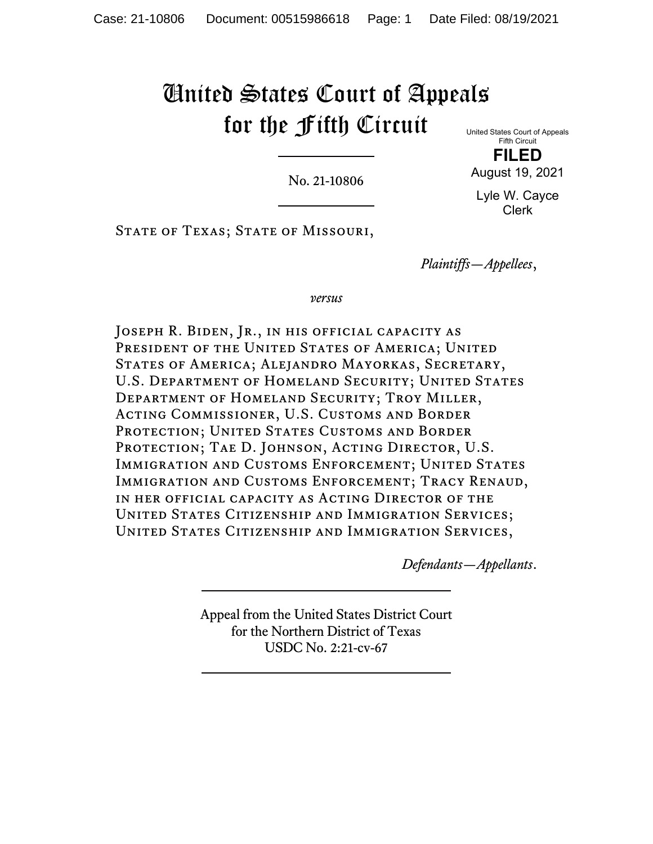# United States Court of Appeals for the Fifth Circuit

No. 21-10806

United States Court of Appeals Fifth Circuit

**FILED** August 19, 2021

Lyle W. Cayce Clerk

STATE OF TEXAS; STATE OF MISSOURI,

*Plaintiffs—Appellees*,

*versus*

JOSEPH R. BIDEN, JR., IN HIS OFFICIAL CAPACITY AS PRESIDENT OF THE UNITED STATES OF AMERICA; UNITED States of America; Alejandro Mayorkas, Secretary, U.S. DEPARTMENT OF HOMELAND SECURITY; UNITED STATES Department of Homeland Security; Troy Miller, Acting Commissioner, U.S. Customs and Border PROTECTION; UNITED STATES CUSTOMS AND BORDER PROTECTION; TAE D. JOHNSON, ACTING DIRECTOR, U.S. IMMIGRATION AND CUSTOMS ENFORCEMENT; UNITED STATES Immigration and Customs Enforcement; Tracy Renaud, in her official capacity as Acting Director of the United States Citizenship and Immigration Services; United States Citizenship and Immigration Services,

*Defendants—Appellants*.

Appeal from the United States District Court for the Northern District of Texas USDC No. 2:21-cv-67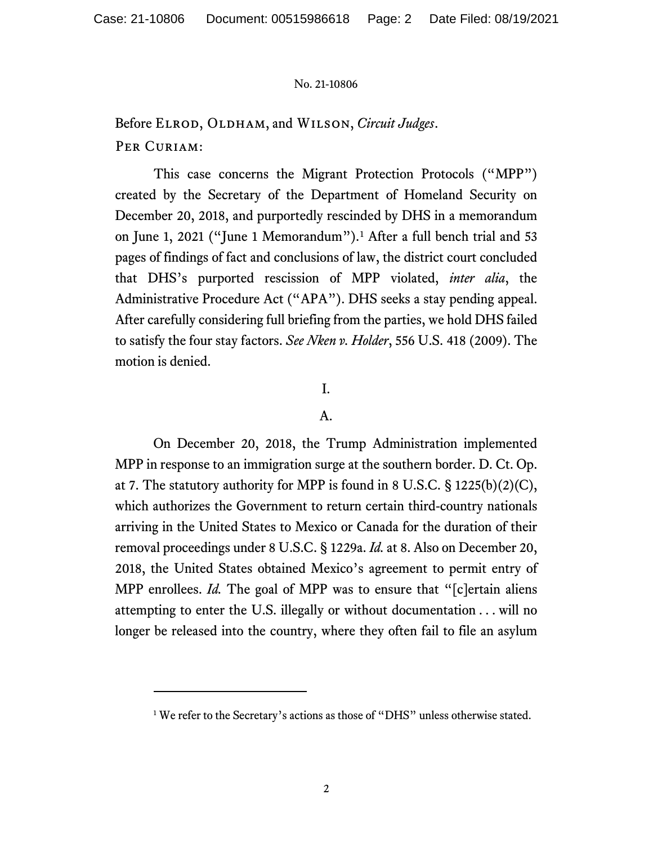Before ELROD, OLDHAM, and WILSON, *Circuit Judges*. PER CURIAM:

This case concerns the Migrant Protection Protocols ("MPP") created by the Secretary of the Department of Homeland Security on December 20, 2018, and purportedly rescinded by DHS in a memorandum on June 1, 2021 ("June 1 Memorandum").[1](#page-25-0) After a full bench trial and 53 pages of findings of fact and conclusions of law, the district court concluded that DHS's purported rescission of MPP violated, *inter alia*, the Administrative Procedure Act ("APA"). DHS seeks a stay pending appeal. After carefully considering full briefing from the parties, we hold DHS failed to satisfy the four stay factors. *See Nken v. Holder*, 556 U.S. 418 (2009). The motion is denied.

## I.

## A.

On December 20, 2018, the Trump Administration implemented MPP in response to an immigration surge at the southern border. D. Ct. Op. at 7. The statutory authority for MPP is found in 8 U.S.C. § 1225(b)(2)(C), which authorizes the Government to return certain third-country nationals arriving in the United States to Mexico or Canada for the duration of their removal proceedings under 8 U.S.C. § 1229a. *Id.* at 8. Also on December 20, 2018, the United States obtained Mexico's agreement to permit entry of MPP enrollees. *Id.* The goal of MPP was to ensure that "[c]ertain aliens attempting to enter the U.S. illegally or without documentation . . . will no longer be released into the country, where they often fail to file an asylum

<sup>&</sup>lt;sup>1</sup> We refer to the Secretary's actions as those of "DHS" unless otherwise stated.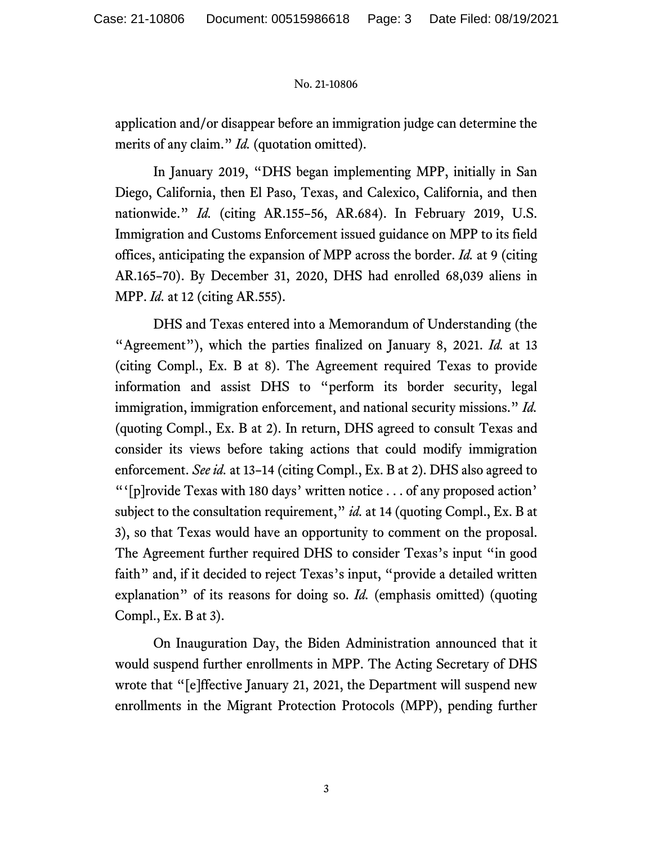application and/or disappear before an immigration judge can determine the merits of any claim." *Id.* (quotation omitted).

In January 2019, "DHS began implementing MPP, initially in San Diego, California, then El Paso, Texas, and Calexico, California, and then nationwide." *Id.* (citing AR.155–56, AR.684). In February 2019, U.S. Immigration and Customs Enforcement issued guidance on MPP to its field offices, anticipating the expansion of MPP across the border. *Id.* at 9 (citing AR.165–70). By December 31, 2020, DHS had enrolled 68,039 aliens in MPP. *Id.* at 12 (citing AR.555).

DHS and Texas entered into a Memorandum of Understanding (the "Agreement"), which the parties finalized on January 8, 2021. *Id.* at 13 (citing Compl., Ex. B at 8). The Agreement required Texas to provide information and assist DHS to "perform its border security, legal immigration, immigration enforcement, and national security missions." *Id.*  (quoting Compl., Ex. B at 2). In return, DHS agreed to consult Texas and consider its views before taking actions that could modify immigration enforcement. *See id.* at 13–14 (citing Compl., Ex. B at 2). DHS also agreed to "'[p]rovide Texas with 180 days' written notice . . . of any proposed action' subject to the consultation requirement," *id.* at 14 (quoting Compl., Ex. B at 3), so that Texas would have an opportunity to comment on the proposal. The Agreement further required DHS to consider Texas's input "in good faith" and, if it decided to reject Texas's input, "provide a detailed written explanation" of its reasons for doing so. *Id.* (emphasis omitted) (quoting Compl., Ex. B at 3).

On Inauguration Day, the Biden Administration announced that it would suspend further enrollments in MPP. The Acting Secretary of DHS wrote that "[e]ffective January 21, 2021, the Department will suspend new enrollments in the Migrant Protection Protocols (MPP), pending further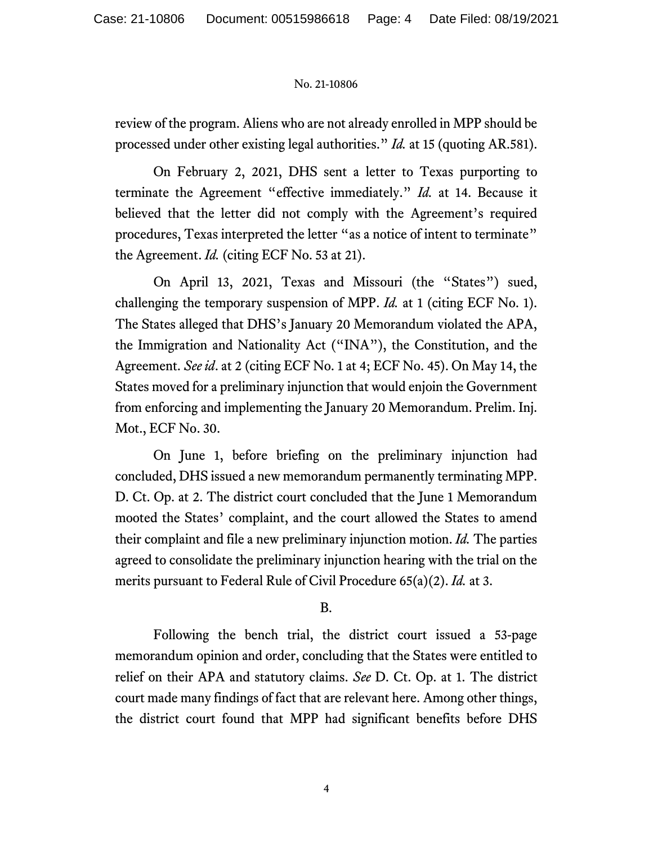review of the program. Aliens who are not already enrolled in MPP should be processed under other existing legal authorities." *Id.* at 15 (quoting AR.581).

On February 2, 2021, DHS sent a letter to Texas purporting to terminate the Agreement "effective immediately." *Id.* at 14. Because it believed that the letter did not comply with the Agreement's required procedures, Texas interpreted the letter "as a notice of intent to terminate" the Agreement. *Id.* (citing ECF No. 53 at 21).

On April 13, 2021, Texas and Missouri (the "States") sued, challenging the temporary suspension of MPP. *Id.* at 1 (citing ECF No. 1). The States alleged that DHS's January 20 Memorandum violated the APA, the Immigration and Nationality Act ("INA"), the Constitution, and the Agreement. *See id*. at 2 (citing ECF No. 1 at 4; ECF No. 45). On May 14, the States moved for a preliminary injunction that would enjoin the Government from enforcing and implementing the January 20 Memorandum. Prelim. Inj. Mot., ECF No. 30.

On June 1, before briefing on the preliminary injunction had concluded, DHS issued a new memorandum permanently terminating MPP. D. Ct. Op. at 2. The district court concluded that the June 1 Memorandum mooted the States' complaint, and the court allowed the States to amend their complaint and file a new preliminary injunction motion. *Id.* The parties agreed to consolidate the preliminary injunction hearing with the trial on the merits pursuant to Federal Rule of Civil Procedure 65(a)(2). *Id.* at 3.

## B.

Following the bench trial, the district court issued a 53-page memorandum opinion and order, concluding that the States were entitled to relief on their APA and statutory claims. *See* D. Ct. Op. at 1. The district court made many findings of fact that are relevant here. Among other things, the district court found that MPP had significant benefits before DHS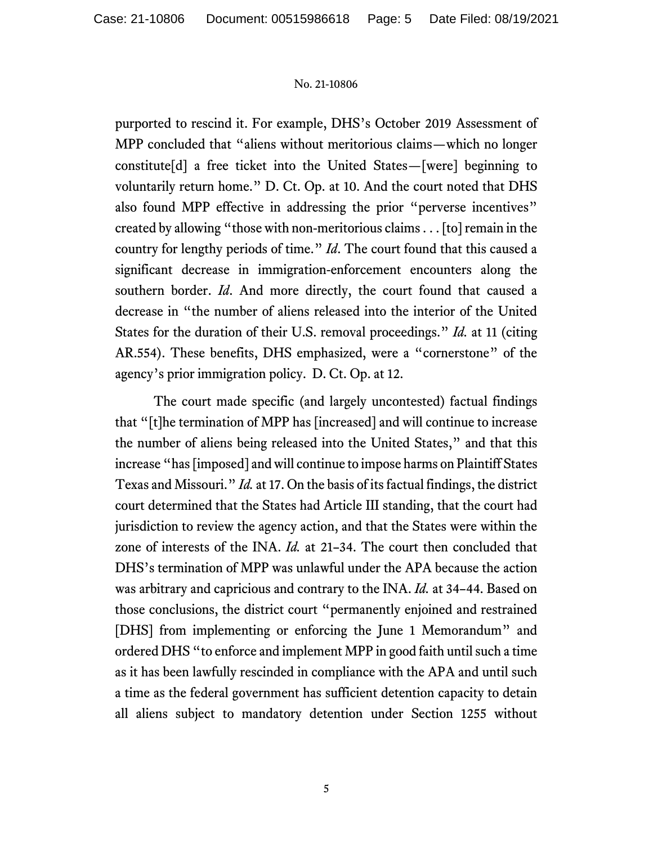purported to rescind it. For example, DHS's October 2019 Assessment of MPP concluded that "aliens without meritorious claims—which no longer constitute[d] a free ticket into the United States—[were] beginning to voluntarily return home." D. Ct. Op. at 10. And the court noted that DHS also found MPP effective in addressing the prior "perverse incentives" created by allowing "those with non-meritorious claims . . . [to] remain in the country for lengthy periods of time." *Id*. The court found that this caused a significant decrease in immigration-enforcement encounters along the southern border. *Id*. And more directly, the court found that caused a decrease in "the number of aliens released into the interior of the United States for the duration of their U.S. removal proceedings." *Id.* at 11 (citing AR.554). These benefits, DHS emphasized, were a "cornerstone" of the agency's prior immigration policy. D. Ct. Op. at 12.

The court made specific (and largely uncontested) factual findings that "[t]he termination of MPP has [increased] and will continue to increase the number of aliens being released into the United States," and that this increase "has [imposed] and will continue to impose harms on Plaintiff States Texas and Missouri." *Id.* at 17. On the basis of its factual findings, the district court determined that the States had Article III standing, that the court had jurisdiction to review the agency action, and that the States were within the zone of interests of the INA. *Id.* at 21–34. The court then concluded that DHS's termination of MPP was unlawful under the APA because the action was arbitrary and capricious and contrary to the INA. *Id.* at 34–44. Based on those conclusions, the district court "permanently enjoined and restrained [DHS] from implementing or enforcing the June 1 Memorandum" and ordered DHS "to enforce and implement MPP in good faith until such a time as it has been lawfully rescinded in compliance with the APA and until such a time as the federal government has sufficient detention capacity to detain all aliens subject to mandatory detention under Section 1255 without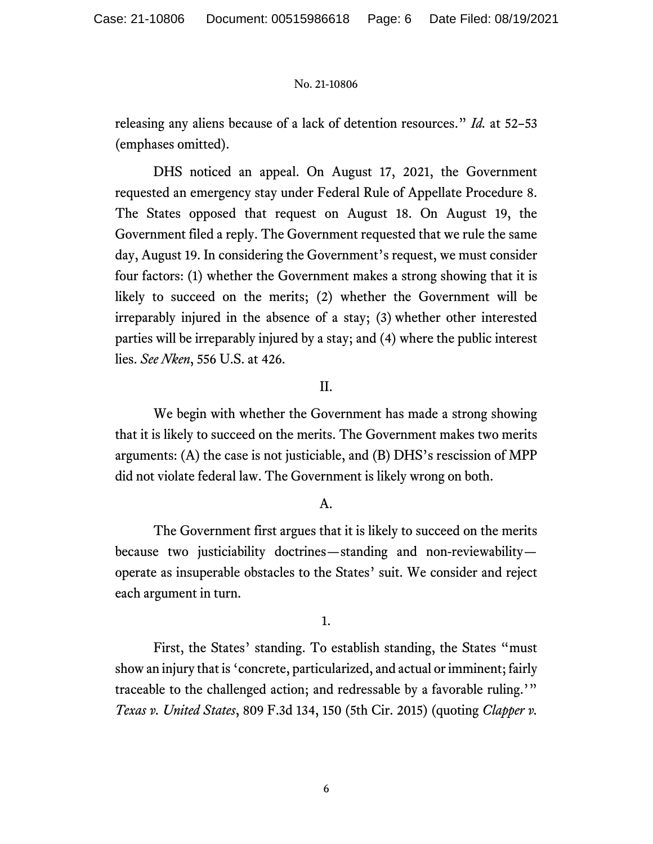releasing any aliens because of a lack of detention resources." *Id.* at 52–53 (emphases omitted).

DHS noticed an appeal. On August 17, 2021, the Government requested an emergency stay under Federal Rule of Appellate Procedure 8. The States opposed that request on August 18. On August 19, the Government filed a reply. The Government requested that we rule the same day, August 19. In considering the Government's request, we must consider four factors: (1) whether the Government makes a strong showing that it is likely to succeed on the merits; (2) whether the Government will be irreparably injured in the absence of a stay; (3) whether other interested parties will be irreparably injured by a stay; and (4) where the public interest lies. *See Nken*, 556 U.S. at 426.

## II.

We begin with whether the Government has made a strong showing that it is likely to succeed on the merits. The Government makes two merits arguments: (A) the case is not justiciable, and (B) DHS's rescission of MPP did not violate federal law. The Government is likely wrong on both.

#### A.

The Government first argues that it is likely to succeed on the merits because two justiciability doctrines—standing and non-reviewability operate as insuperable obstacles to the States' suit. We consider and reject each argument in turn.

1.

First, the States' standing. To establish standing, the States "must show an injury that is 'concrete, particularized, and actual or imminent; fairly traceable to the challenged action; and redressable by a favorable ruling.'" *Texas v. United States*, 809 F.3d 134, 150 (5th Cir. 2015) (quoting *Clapper v.*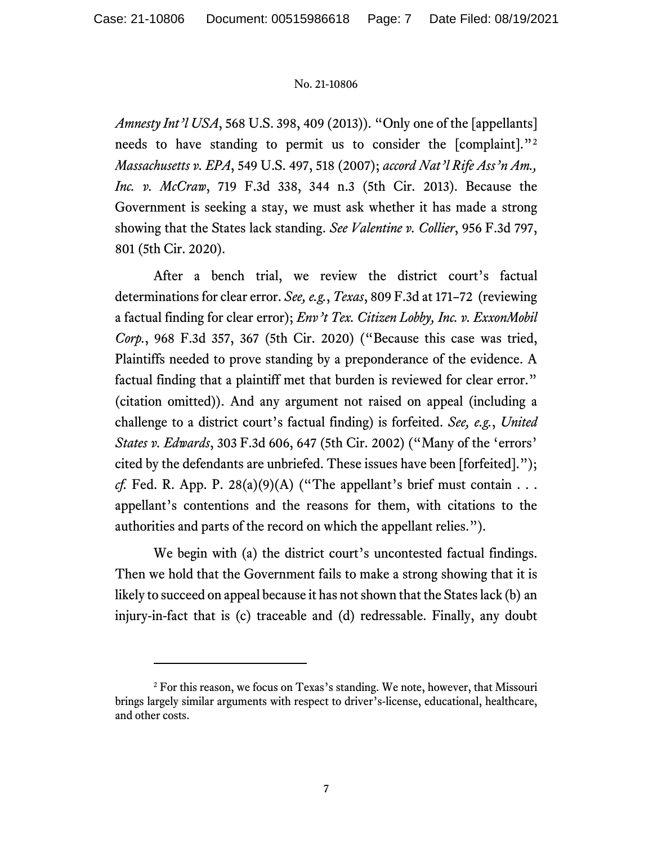*Amnesty Int'l USA*, 568 U.S. 398, 409 (2013)). "Only one of the [appellants] needs to have standing to permit us to consider the [complaint]."[2](#page-25-0) *Massachusetts v. EPA*, 549 U.S. 497, 518 (2007); *accord Nat'l Rife Ass'n Am., Inc. v. McCraw*, 719 F.3d 338, 344 n.3 (5th Cir. 2013). Because the Government is seeking a stay, we must ask whether it has made a strong showing that the States lack standing. *See Valentine v. Collier*, 956 F.3d 797, 801 (5th Cir. 2020).

After a bench trial, we review the district court's factual determinations for clear error. *See, e.g.*, *Texas*, 809 F.3d at 171–72 (reviewing a factual finding for clear error); *Env't Tex. Citizen Lobby, Inc. v. ExxonMobil Corp.*, 968 F.3d 357, 367 (5th Cir. 2020) ("Because this case was tried, Plaintiffs needed to prove standing by a preponderance of the evidence. A factual finding that a plaintiff met that burden is reviewed for clear error." (citation omitted)). And any argument not raised on appeal (including a challenge to a district court's factual finding) is forfeited. *See, e.g.*, *United States v. Edwards*, 303 F.3d 606, 647 (5th Cir. 2002) ("Many of the 'errors' cited by the defendants are unbriefed. These issues have been [forfeited]."); *cf.* Fed. R. App. P. 28(a)(9)(A) ("The appellant's brief must contain . . . appellant's contentions and the reasons for them, with citations to the authorities and parts of the record on which the appellant relies.").

We begin with (a) the district court's uncontested factual findings. Then we hold that the Government fails to make a strong showing that it is likely to succeed on appeal because it has not shown that the States lack (b) an injury-in-fact that is (c) traceable and (d) redressable. Finally, any doubt

<sup>&</sup>lt;sup>2</sup> For this reason, we focus on Texas's standing. We note, however, that Missouri brings largely similar arguments with respect to driver's-license, educational, healthcare, and other costs.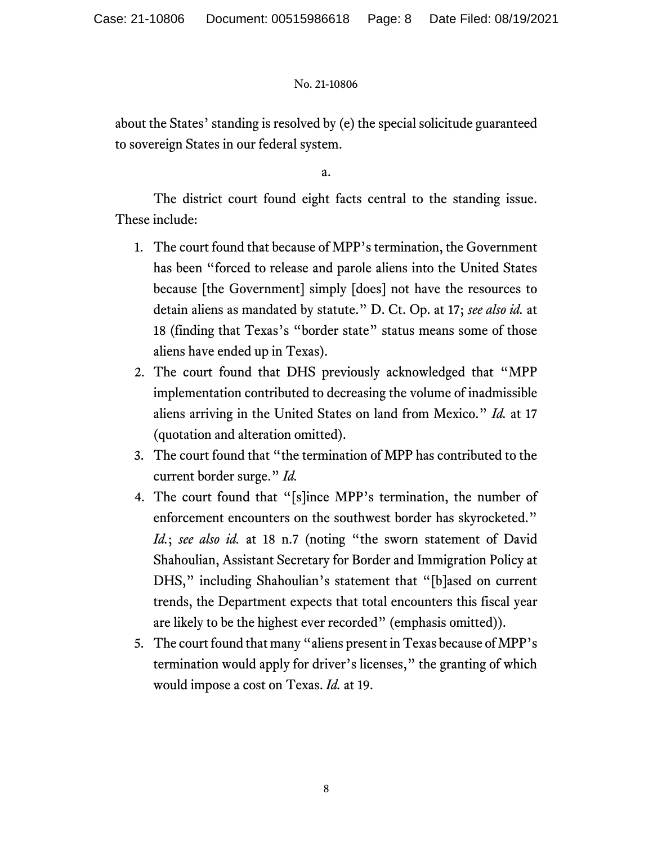about the States' standing is resolved by (e) the special solicitude guaranteed to sovereign States in our federal system.

a.

The district court found eight facts central to the standing issue. These include:

- 1. The court found that because of MPP's termination, the Government has been "forced to release and parole aliens into the United States because [the Government] simply [does] not have the resources to detain aliens as mandated by statute." D. Ct. Op. at 17; *see also id.* at 18 (finding that Texas's "border state" status means some of those aliens have ended up in Texas).
- 2. The court found that DHS previously acknowledged that "MPP implementation contributed to decreasing the volume of inadmissible aliens arriving in the United States on land from Mexico." *Id.* at 17 (quotation and alteration omitted).
- 3. The court found that "the termination of MPP has contributed to the current border surge." *Id.*
- 4. The court found that "[s]ince MPP's termination, the number of enforcement encounters on the southwest border has skyrocketed." *Id.*; *see also id.* at 18 n.7 (noting "the sworn statement of David Shahoulian, Assistant Secretary for Border and Immigration Policy at DHS," including Shahoulian's statement that "[b]ased on current trends, the Department expects that total encounters this fiscal year are likely to be the highest ever recorded" (emphasis omitted)).
- 5. The court found that many "aliens present in Texas because of MPP's termination would apply for driver's licenses," the granting of which would impose a cost on Texas. *Id.* at 19.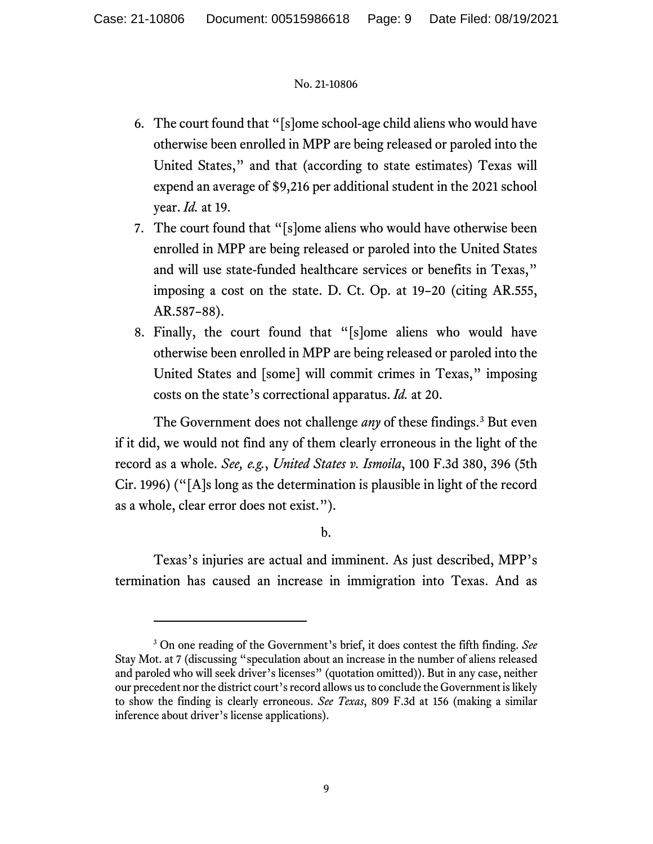- 6. The court found that "[s]ome school-age child aliens who would have otherwise been enrolled in MPP are being released or paroled into the United States," and that (according to state estimates) Texas will expend an average of \$9,216 per additional student in the 2021 school year. *Id.* at 19.
- 7. The court found that "[s]ome aliens who would have otherwise been enrolled in MPP are being released or paroled into the United States and will use state-funded healthcare services or benefits in Texas," imposing a cost on the state. D. Ct. Op. at 19–20 (citing AR.555, AR.587–88).
- 8. Finally, the court found that "[s]ome aliens who would have otherwise been enrolled in MPP are being released or paroled into the United States and [some] will commit crimes in Texas," imposing costs on the state's correctional apparatus. *Id.* at 20.

The Government does not challenge *any* of these findings.<sup>[3](#page-25-0)</sup> But even if it did, we would not find any of them clearly erroneous in the light of the record as a whole. *See, e.g.*, *United States v. Ismoila*, 100 F.3d 380, 396 (5th Cir. 1996) ("[A]s long as the determination is plausible in light of the record as a whole, clear error does not exist.").

b.

Texas's injuries are actual and imminent. As just described, MPP's termination has caused an increase in immigration into Texas. And as

<sup>3</sup> On one reading of the Government's brief, it does contest the fifth finding. *See*  Stay Mot. at 7 (discussing "speculation about an increase in the number of aliens released and paroled who will seek driver's licenses" (quotation omitted)). But in any case, neither our precedent nor the district court's record allows us to conclude the Government is likely to show the finding is clearly erroneous. *See Texas*, 809 F.3d at 156 (making a similar inference about driver's license applications).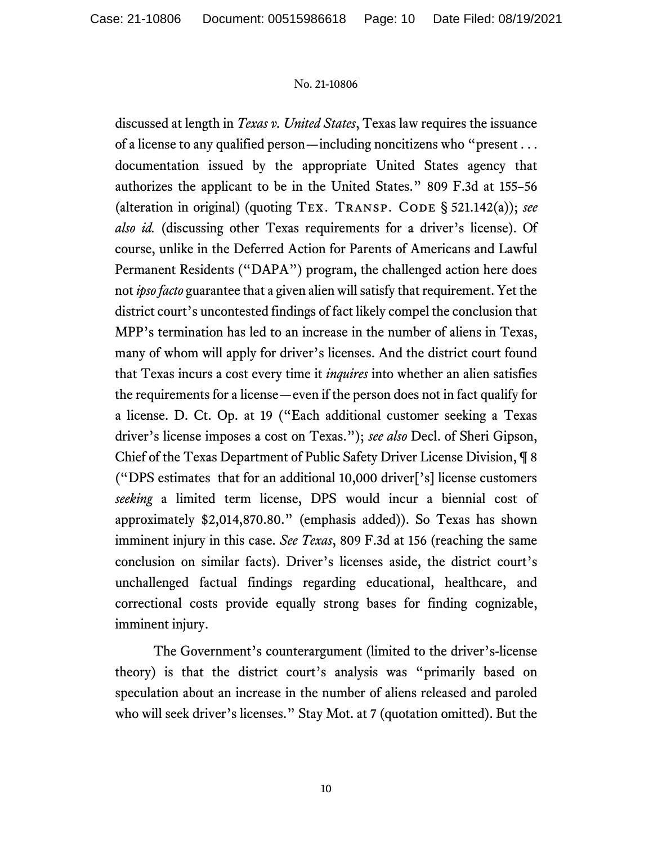discussed at length in *Texas v. United States*, Texas law requires the issuance of a license to any qualified person—including noncitizens who "present . . . documentation issued by the appropriate United States agency that authorizes the applicant to be in the United States." 809 F.3d at 155–56 (alteration in original) (quoting TEX. TRANSP. CODE § 521.142(a)); see *also id.* (discussing other Texas requirements for a driver's license). Of course, unlike in the Deferred Action for Parents of Americans and Lawful Permanent Residents ("DAPA") program, the challenged action here does not *ipso facto* guarantee that a given alien will satisfy that requirement. Yet the district court's uncontested findings of fact likely compel the conclusion that MPP's termination has led to an increase in the number of aliens in Texas, many of whom will apply for driver's licenses. And the district court found that Texas incurs a cost every time it *inquires* into whether an alien satisfies the requirements for a license—even if the person does not in fact qualify for a license. D. Ct. Op. at 19 ("Each additional customer seeking a Texas driver's license imposes a cost on Texas."); *see also* Decl. of Sheri Gipson, Chief of the Texas Department of Public Safety Driver License Division, ¶ 8 ("DPS estimates that for an additional 10,000 driver['s] license customers *seeking* a limited term license, DPS would incur a biennial cost of approximately \$2,014,870.80." (emphasis added)). So Texas has shown imminent injury in this case. *See Texas*, 809 F.3d at 156 (reaching the same conclusion on similar facts). Driver's licenses aside, the district court's unchallenged factual findings regarding educational, healthcare, and correctional costs provide equally strong bases for finding cognizable, imminent injury.

The Government's counterargument (limited to the driver's-license theory) is that the district court's analysis was "primarily based on speculation about an increase in the number of aliens released and paroled who will seek driver's licenses." Stay Mot. at 7 (quotation omitted). But the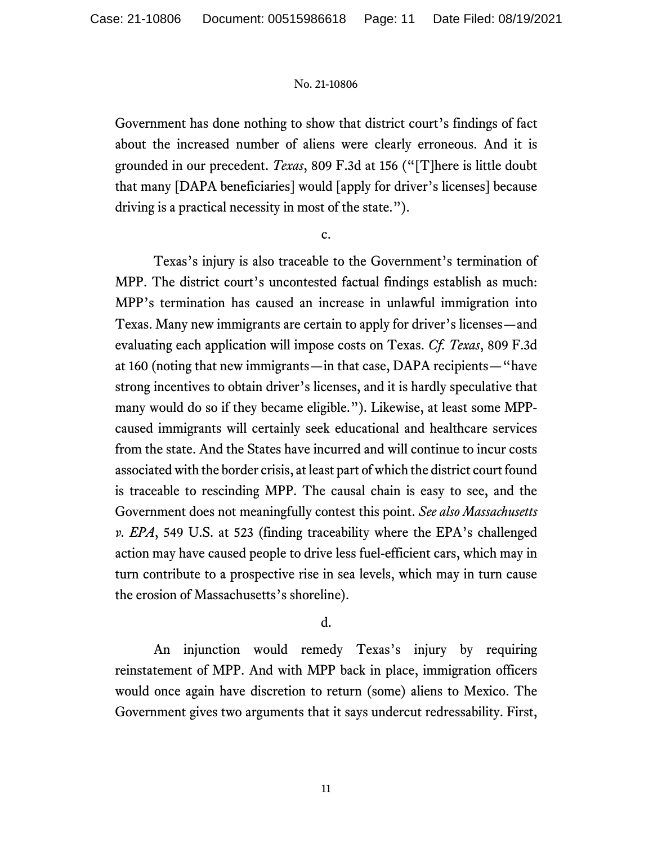Government has done nothing to show that district court's findings of fact about the increased number of aliens were clearly erroneous. And it is grounded in our precedent. *Texas*, 809 F.3d at 156 ("[T]here is little doubt that many [DAPA beneficiaries] would [apply for driver's licenses] because driving is a practical necessity in most of the state.").

c.

Texas's injury is also traceable to the Government's termination of MPP. The district court's uncontested factual findings establish as much: MPP's termination has caused an increase in unlawful immigration into Texas. Many new immigrants are certain to apply for driver's licenses—and evaluating each application will impose costs on Texas. *Cf. Texas*, 809 F.3d at 160 (noting that new immigrants—in that case, DAPA recipients—"have strong incentives to obtain driver's licenses, and it is hardly speculative that many would do so if they became eligible."). Likewise, at least some MPPcaused immigrants will certainly seek educational and healthcare services from the state. And the States have incurred and will continue to incur costs associated with the border crisis, at least part of which the district court found is traceable to rescinding MPP. The causal chain is easy to see, and the Government does not meaningfully contest this point. *See also Massachusetts v. EPA*, 549 U.S. at 523 (finding traceability where the EPA's challenged action may have caused people to drive less fuel-efficient cars, which may in turn contribute to a prospective rise in sea levels, which may in turn cause the erosion of Massachusetts's shoreline).

## d.

An injunction would remedy Texas's injury by requiring reinstatement of MPP. And with MPP back in place, immigration officers would once again have discretion to return (some) aliens to Mexico. The Government gives two arguments that it says undercut redressability. First,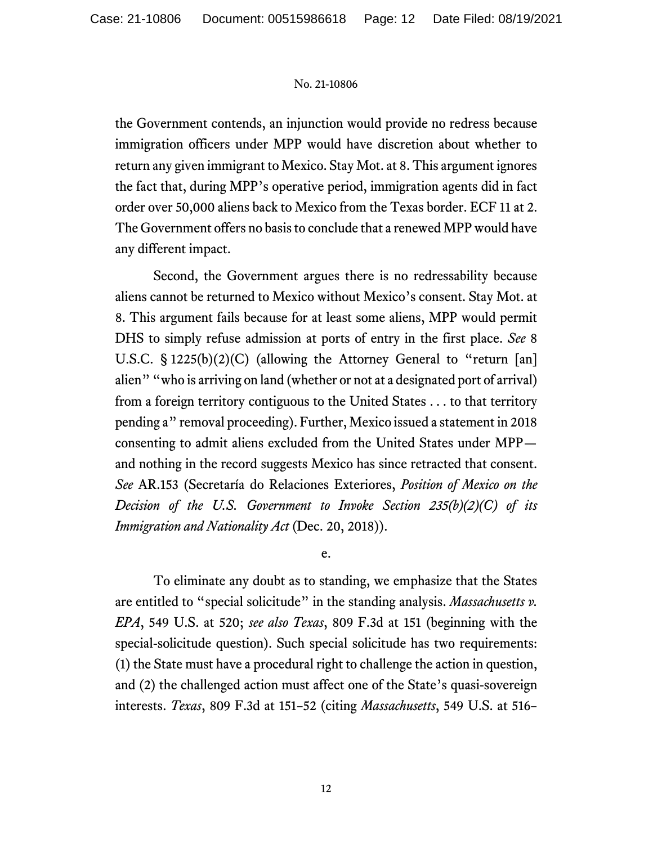the Government contends, an injunction would provide no redress because immigration officers under MPP would have discretion about whether to return any given immigrant to Mexico. Stay Mot. at 8. This argument ignores the fact that, during MPP's operative period, immigration agents did in fact order over 50,000 aliens back to Mexico from the Texas border. ECF 11 at 2. The Government offers no basis to conclude that a renewed MPP would have any different impact.

Second, the Government argues there is no redressability because aliens cannot be returned to Mexico without Mexico's consent. Stay Mot. at 8. This argument fails because for at least some aliens, MPP would permit DHS to simply refuse admission at ports of entry in the first place. *See* 8 U.S.C. § 1225(b)(2)(C) (allowing the Attorney General to "return [an] alien" "who is arriving on land (whether or not at a designated port of arrival) from a foreign territory contiguous to the United States . . . to that territory pending a" removal proceeding). Further, Mexico issued a statement in 2018 consenting to admit aliens excluded from the United States under MPP and nothing in the record suggests Mexico has since retracted that consent. *See* AR.153 (Secretaría do Relaciones Exteriores, *Position of Mexico on the Decision of the U.S. Government to Invoke Section 235(b)(2)(C) of its Immigration and Nationality Act* (Dec. 20, 2018)).

e.

To eliminate any doubt as to standing, we emphasize that the States are entitled to "special solicitude" in the standing analysis. *Massachusetts v. EPA*, 549 U.S. at 520; *see also Texas*, 809 F.3d at 151 (beginning with the special-solicitude question). Such special solicitude has two requirements: (1) the State must have a procedural right to challenge the action in question, and (2) the challenged action must affect one of the State's quasi-sovereign interests. *Texas*, 809 F.3d at 151–52 (citing *Massachusetts*, 549 U.S. at 516–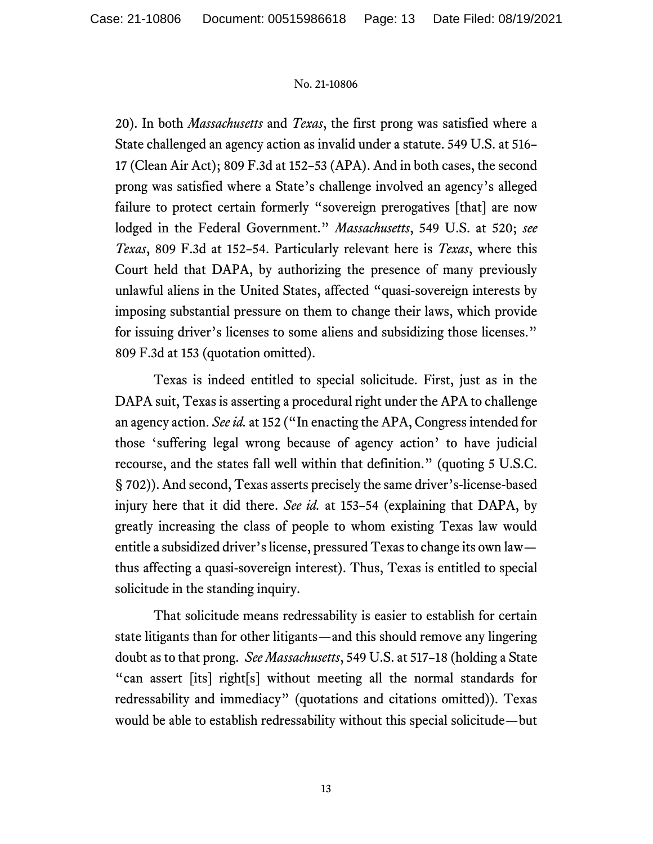20). In both *Massachusetts* and *Texas*, the first prong was satisfied where a State challenged an agency action as invalid under a statute. 549 U.S. at 516– 17 (Clean Air Act); 809 F.3d at 152–53 (APA). And in both cases, the second prong was satisfied where a State's challenge involved an agency's alleged failure to protect certain formerly "sovereign prerogatives [that] are now lodged in the Federal Government." *Massachusetts*, 549 U.S. at 520; *see Texas*, 809 F.3d at 152–54. Particularly relevant here is *Texas*, where this Court held that DAPA, by authorizing the presence of many previously unlawful aliens in the United States, affected "quasi-sovereign interests by imposing substantial pressure on them to change their laws, which provide for issuing driver's licenses to some aliens and subsidizing those licenses." 809 F.3d at 153 (quotation omitted).

Texas is indeed entitled to special solicitude. First, just as in the DAPA suit, Texas is asserting a procedural right under the APA to challenge an agency action. *See id.* at 152 ("In enacting the APA, Congress intended for those 'suffering legal wrong because of agency action' to have judicial recourse, and the states fall well within that definition." (quoting 5 U.S.C. § 702)). And second, Texas asserts precisely the same driver's-license-based injury here that it did there. *See id.* at 153–54 (explaining that DAPA, by greatly increasing the class of people to whom existing Texas law would entitle a subsidized driver's license, pressured Texas to change its own law thus affecting a quasi-sovereign interest). Thus, Texas is entitled to special solicitude in the standing inquiry.

That solicitude means redressability is easier to establish for certain state litigants than for other litigants—and this should remove any lingering doubt as to that prong. *See Massachusetts*, 549 U.S. at 517–18 (holding a State "can assert [its] right[s] without meeting all the normal standards for redressability and immediacy" (quotations and citations omitted)). Texas would be able to establish redressability without this special solicitude—but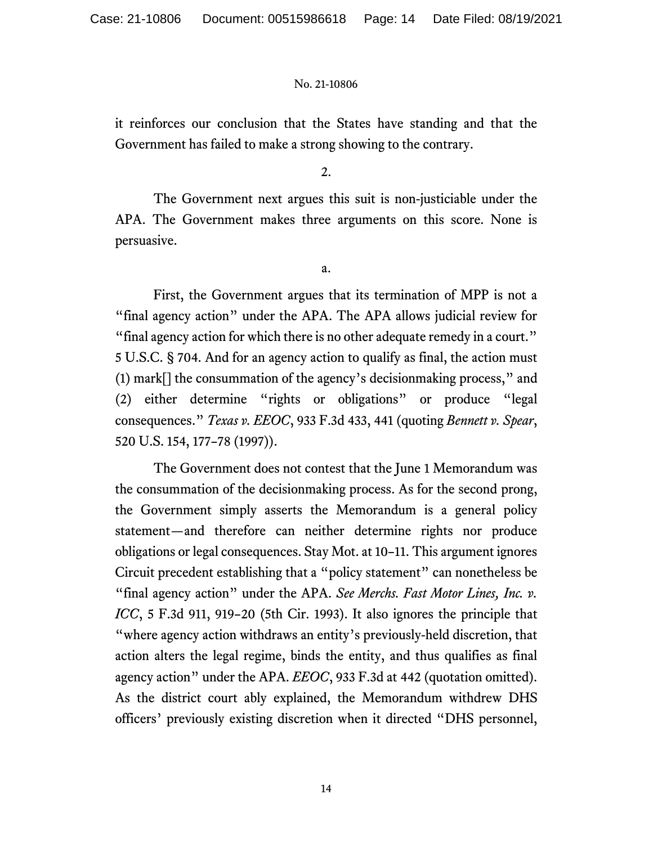it reinforces our conclusion that the States have standing and that the Government has failed to make a strong showing to the contrary.

2.

The Government next argues this suit is non-justiciable under the APA. The Government makes three arguments on this score. None is persuasive.

a.

First, the Government argues that its termination of MPP is not a "final agency action" under the APA. The APA allows judicial review for "final agency action for which there is no other adequate remedy in a court." 5 U.S.C. § 704. And for an agency action to qualify as final, the action must (1) mark[] the consummation of the agency's decisionmaking process," and (2) either determine "rights or obligations" or produce "legal consequences." *Texas v. EEOC*, 933 F.3d 433, 441 (quoting *Bennett v. Spear*, 520 U.S. 154, 177–78 (1997)).

The Government does not contest that the June 1 Memorandum was the consummation of the decisionmaking process. As for the second prong, the Government simply asserts the Memorandum is a general policy statement—and therefore can neither determine rights nor produce obligations or legal consequences. Stay Mot. at 10–11. This argument ignores Circuit precedent establishing that a "policy statement" can nonetheless be "final agency action" under the APA. *See Merchs. Fast Motor Lines, Inc. v. ICC*, 5 F.3d 911, 919–20 (5th Cir. 1993). It also ignores the principle that "where agency action withdraws an entity's previously-held discretion, that action alters the legal regime, binds the entity, and thus qualifies as final agency action" under the APA. *EEOC*, 933 F.3d at 442 (quotation omitted). As the district court ably explained, the Memorandum withdrew DHS officers' previously existing discretion when it directed "DHS personnel,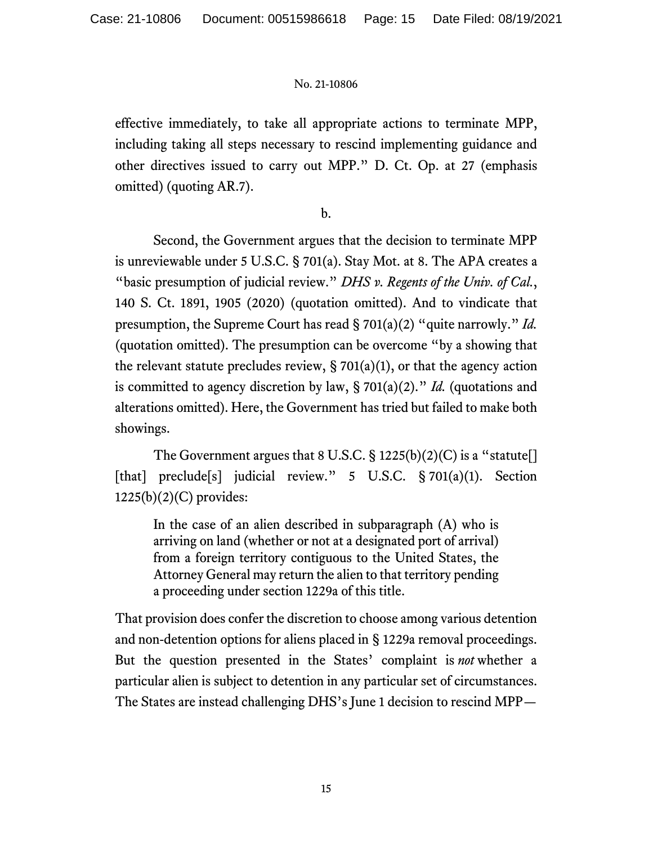effective immediately, to take all appropriate actions to terminate MPP, including taking all steps necessary to rescind implementing guidance and other directives issued to carry out MPP." D. Ct. Op. at 27 (emphasis omitted) (quoting AR.7).

b.

Second, the Government argues that the decision to terminate MPP is unreviewable under 5 U.S.C. § 701(a). Stay Mot. at 8. The APA creates a "basic presumption of judicial review." *DHS v. Regents of the Univ. of Cal.*, 140 S. Ct. 1891, 1905 (2020) (quotation omitted). And to vindicate that presumption, the Supreme Court has read § 701(a)(2) "quite narrowly." *Id.* (quotation omitted). The presumption can be overcome "by a showing that the relevant statute precludes review,  $\S 701(a)(1)$ , or that the agency action is committed to agency discretion by law, § 701(a)(2)." *Id.* (quotations and alterations omitted). Here, the Government has tried but failed to make both showings.

The Government argues that 8 U.S.C.  $\S 1225(b)(2)(C)$  is a "statute[] [that] preclude[s] judicial review." 5 U.S.C. § 701(a)(1). Section 1225(b)(2)(C) provides:

In the case of an alien described in subparagraph (A) who is arriving on land (whether or not at a designated port of arrival) from a foreign territory contiguous to the United States, the Attorney General may return the alien to that territory pending a proceeding under section 1229a of this title.

That provision does confer the discretion to choose among various detention and non-detention options for aliens placed in § 1229a removal proceedings. But the question presented in the States' complaint is *not* whether a particular alien is subject to detention in any particular set of circumstances. The States are instead challenging DHS's June 1 decision to rescind MPP—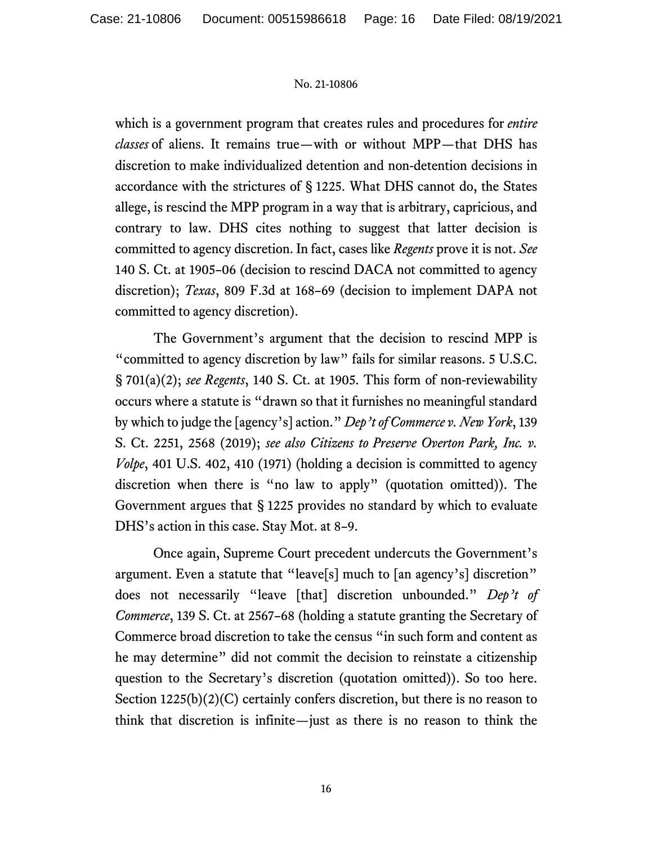which is a government program that creates rules and procedures for *entire classes* of aliens. It remains true—with or without MPP—that DHS has discretion to make individualized detention and non-detention decisions in accordance with the strictures of § 1225. What DHS cannot do, the States allege, is rescind the MPP program in a way that is arbitrary, capricious, and contrary to law. DHS cites nothing to suggest that latter decision is committed to agency discretion. In fact, cases like *Regents* prove it is not. *See* 140 S. Ct. at 1905–06 (decision to rescind DACA not committed to agency discretion); *Texas*, 809 F.3d at 168–69 (decision to implement DAPA not committed to agency discretion).

The Government's argument that the decision to rescind MPP is "committed to agency discretion by law" fails for similar reasons. 5 U.S.C. § 701(a)(2); *see Regents*, 140 S. Ct. at 1905. This form of non-reviewability occurs where a statute is "drawn so that it furnishes no meaningful standard by which to judge the [agency's] action." *Dep't of Commerce v. New York*, 139 S. Ct. 2251, 2568 (2019); *see also Citizens to Preserve Overton Park, Inc. v. Volpe*, 401 U.S. 402, 410 (1971) (holding a decision is committed to agency discretion when there is "no law to apply" (quotation omitted)). The Government argues that § 1225 provides no standard by which to evaluate DHS's action in this case. Stay Mot. at 8–9.

Once again, Supreme Court precedent undercuts the Government's argument. Even a statute that "leave[s] much to [an agency's] discretion" does not necessarily "leave [that] discretion unbounded." *Dep't of Commerce*, 139 S. Ct. at 2567–68 (holding a statute granting the Secretary of Commerce broad discretion to take the census "in such form and content as he may determine" did not commit the decision to reinstate a citizenship question to the Secretary's discretion (quotation omitted)). So too here. Section  $1225(b)(2)(C)$  certainly confers discretion, but there is no reason to think that discretion is infinite—just as there is no reason to think the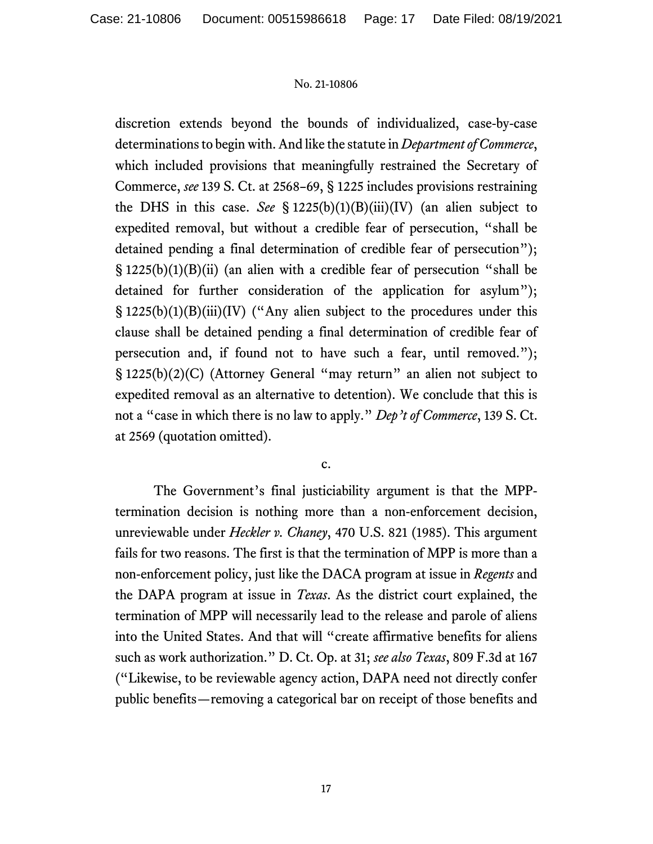discretion extends beyond the bounds of individualized, case-by-case determinations to begin with. And like the statute in *Department of Commerce*, which included provisions that meaningfully restrained the Secretary of Commerce, *see* 139 S. Ct. at 2568–69, § 1225 includes provisions restraining the DHS in this case. *See* § 1225(b)(1)(B)(iii)(IV) (an alien subject to expedited removal, but without a credible fear of persecution, "shall be detained pending a final determination of credible fear of persecution"); § 1225(b)(1)(B)(ii) (an alien with a credible fear of persecution "shall be detained for further consideration of the application for asylum"); § 1225(b)(1)(B)(iii)(IV) ("Any alien subject to the procedures under this clause shall be detained pending a final determination of credible fear of persecution and, if found not to have such a fear, until removed."); § 1225(b)(2)(C) (Attorney General "may return" an alien not subject to expedited removal as an alternative to detention). We conclude that this is not a "case in which there is no law to apply." *Dep't of Commerce*, 139 S. Ct. at 2569 (quotation omitted).

c.

The Government's final justiciability argument is that the MPPtermination decision is nothing more than a non-enforcement decision, unreviewable under *Heckler v. Chaney*, 470 U.S. 821 (1985). This argument fails for two reasons. The first is that the termination of MPP is more than a non-enforcement policy, just like the DACA program at issue in *Regents* and the DAPA program at issue in *Texas*. As the district court explained, the termination of MPP will necessarily lead to the release and parole of aliens into the United States. And that will "create affirmative benefits for aliens such as work authorization." D. Ct. Op. at 31; *see also Texas*, 809 F.3d at 167 ("Likewise, to be reviewable agency action, DAPA need not directly confer public benefits—removing a categorical bar on receipt of those benefits and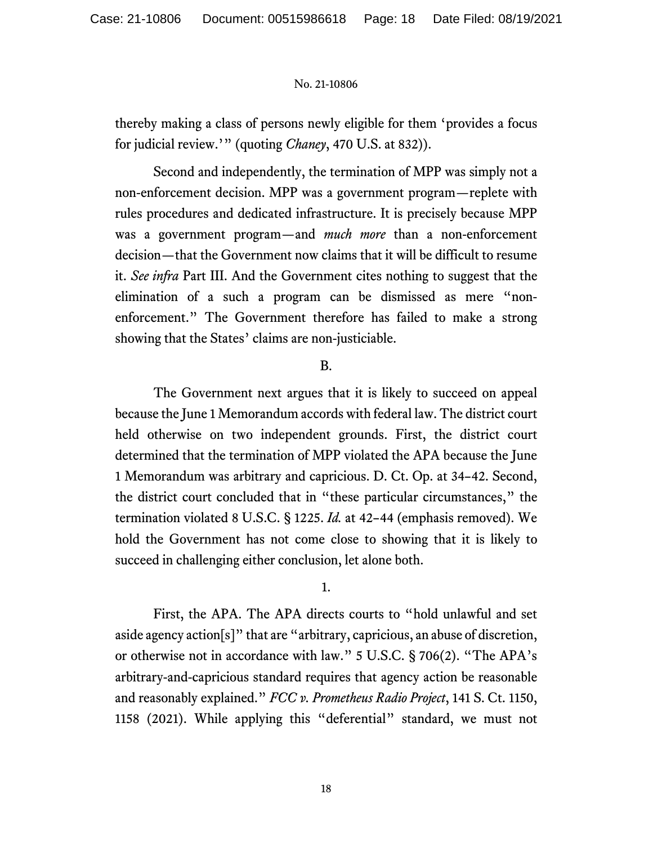thereby making a class of persons newly eligible for them 'provides a focus for judicial review.'" (quoting *Chaney*, 470 U.S. at 832)).

Second and independently, the termination of MPP was simply not a non-enforcement decision. MPP was a government program—replete with rules procedures and dedicated infrastructure. It is precisely because MPP was a government program—and *much more* than a non-enforcement decision—that the Government now claims that it will be difficult to resume it. *See infra* Part III. And the Government cites nothing to suggest that the elimination of a such a program can be dismissed as mere "nonenforcement." The Government therefore has failed to make a strong showing that the States' claims are non-justiciable.

## B.

The Government next argues that it is likely to succeed on appeal because the June 1 Memorandum accords with federal law. The district court held otherwise on two independent grounds. First, the district court determined that the termination of MPP violated the APA because the June 1 Memorandum was arbitrary and capricious. D. Ct. Op. at 34–42. Second, the district court concluded that in "these particular circumstances," the termination violated 8 U.S.C. § 1225. *Id.* at 42–44 (emphasis removed). We hold the Government has not come close to showing that it is likely to succeed in challenging either conclusion, let alone both.

#### 1.

First, the APA. The APA directs courts to "hold unlawful and set aside agency action[s]" that are "arbitrary, capricious, an abuse of discretion, or otherwise not in accordance with law." 5 U.S.C. § 706(2). "The APA's arbitrary-and-capricious standard requires that agency action be reasonable and reasonably explained." *FCC v. Prometheus Radio Project*, 141 S. Ct. 1150, 1158 (2021). While applying this "deferential" standard, we must not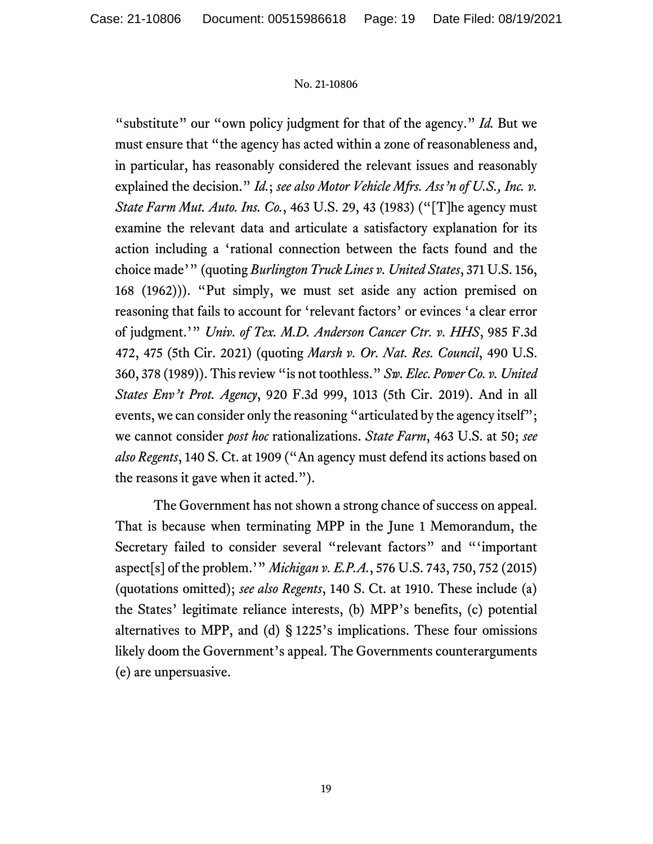"substitute" our "own policy judgment for that of the agency." *Id.* But we must ensure that "the agency has acted within a zone of reasonableness and, in particular, has reasonably considered the relevant issues and reasonably explained the decision." *Id.*; *see also Motor Vehicle Mfrs. Ass'n of U.S., Inc. v. State Farm Mut. Auto. Ins. Co.*, 463 U.S. 29, 43 (1983) ("[T]he agency must examine the relevant data and articulate a satisfactory explanation for its action including a 'rational connection between the facts found and the choice made'" (quoting *Burlington Truck Lines v. United States*, 371 U.S. 156, 168 (1962))). "Put simply, we must set aside any action premised on reasoning that fails to account for 'relevant factors' or evinces 'a clear error of judgment.'" *Univ. of Tex. M.D. Anderson Cancer Ctr. v. HHS*, 985 F.3d 472, 475 (5th Cir. 2021) (quoting *Marsh v. Or. Nat. Res. Council*, 490 U.S. 360, 378 (1989)). This review "is not toothless." *Sw. Elec. Power Co. v. United States Env't Prot. Agency*, 920 F.3d 999, 1013 (5th Cir. 2019). And in all events, we can consider only the reasoning "articulated by the agency itself"; we cannot consider *post hoc* rationalizations. *State Farm*, 463 U.S. at 50; *see also Regents*, 140 S. Ct. at 1909 ("An agency must defend its actions based on the reasons it gave when it acted.").

The Government has not shown a strong chance of success on appeal. That is because when terminating MPP in the June 1 Memorandum, the Secretary failed to consider several "relevant factors" and "'important aspect[s] of the problem.'" *Michigan v. E.P.A.*, 576 U.S. 743, 750, 752 (2015) (quotations omitted); *see also Regents*, 140 S. Ct. at 1910. These include (a) the States' legitimate reliance interests, (b) MPP's benefits, (c) potential alternatives to MPP, and (d) § 1225's implications. These four omissions likely doom the Government's appeal. The Governments counterarguments (e) are unpersuasive.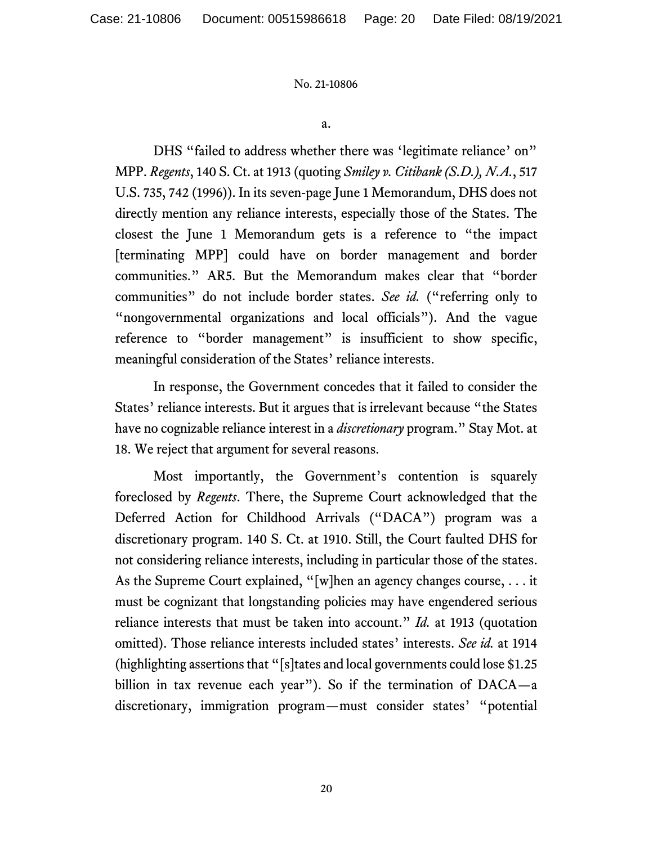a.

DHS "failed to address whether there was 'legitimate reliance' on" MPP. *Regents*, 140 S. Ct. at 1913 (quoting *Smiley v. Citibank (S.D.), N.A.*, 517 U.S. 735, 742 (1996)). In its seven-page June 1 Memorandum, DHS does not directly mention any reliance interests, especially those of the States. The closest the June 1 Memorandum gets is a reference to "the impact [terminating MPP] could have on border management and border communities." AR5. But the Memorandum makes clear that "border communities" do not include border states. *See id.* ("referring only to "nongovernmental organizations and local officials"). And the vague reference to "border management" is insufficient to show specific, meaningful consideration of the States' reliance interests.

In response, the Government concedes that it failed to consider the States' reliance interests. But it argues that is irrelevant because "the States have no cognizable reliance interest in a *discretionary* program." Stay Mot. at 18. We reject that argument for several reasons.

Most importantly, the Government's contention is squarely foreclosed by *Regents*. There, the Supreme Court acknowledged that the Deferred Action for Childhood Arrivals ("DACA") program was a discretionary program. 140 S. Ct. at 1910. Still, the Court faulted DHS for not considering reliance interests, including in particular those of the states. As the Supreme Court explained, "[w]hen an agency changes course, . . . it must be cognizant that longstanding policies may have engendered serious reliance interests that must be taken into account." *Id.* at 1913 (quotation omitted). Those reliance interests included states' interests. *See id.* at 1914 (highlighting assertions that "[s]tates and local governments could lose \$1.25 billion in tax revenue each year"). So if the termination of DACA—a discretionary, immigration program—must consider states' "potential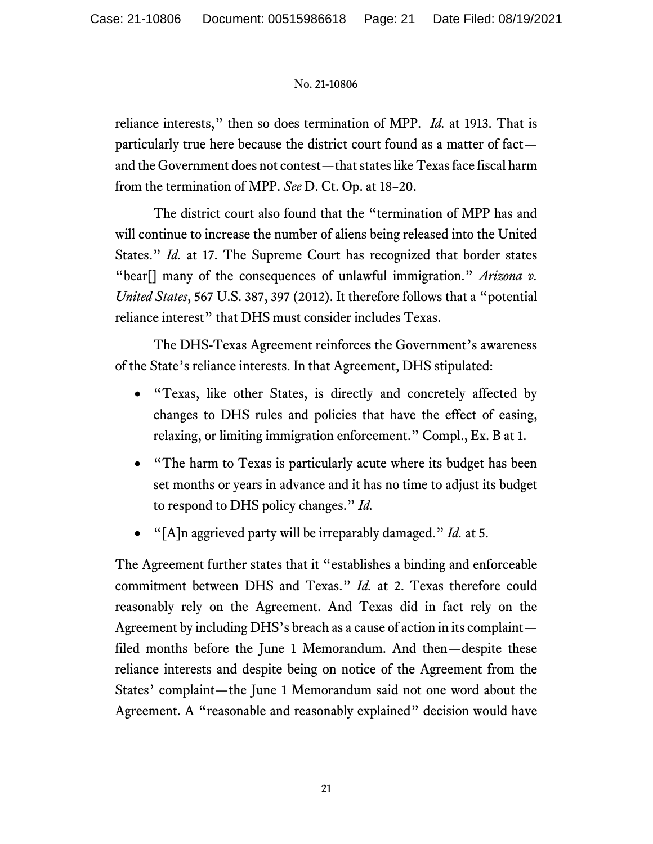reliance interests," then so does termination of MPP. *Id.* at 1913. That is particularly true here because the district court found as a matter of fact and the Government does not contest—that states like Texas face fiscal harm from the termination of MPP. *See* D. Ct. Op. at 18–20.

The district court also found that the "termination of MPP has and will continue to increase the number of aliens being released into the United States." *Id.* at 17. The Supreme Court has recognized that border states "bear[] many of the consequences of unlawful immigration." *Arizona v. United States*, 567 U.S. 387, 397 (2012). It therefore follows that a "potential reliance interest" that DHS must consider includes Texas.

The DHS-Texas Agreement reinforces the Government's awareness of the State's reliance interests. In that Agreement, DHS stipulated:

- "Texas, like other States, is directly and concretely affected by changes to DHS rules and policies that have the effect of easing, relaxing, or limiting immigration enforcement." Compl., Ex. B at 1.
- "The harm to Texas is particularly acute where its budget has been set months or years in advance and it has no time to adjust its budget to respond to DHS policy changes." *Id.*
- "[A]n aggrieved party will be irreparably damaged." *Id.* at 5.

The Agreement further states that it "establishes a binding and enforceable commitment between DHS and Texas." *Id.* at 2. Texas therefore could reasonably rely on the Agreement. And Texas did in fact rely on the Agreement by including DHS's breach as a cause of action in its complaint filed months before the June 1 Memorandum. And then—despite these reliance interests and despite being on notice of the Agreement from the States' complaint—the June 1 Memorandum said not one word about the Agreement. A "reasonable and reasonably explained" decision would have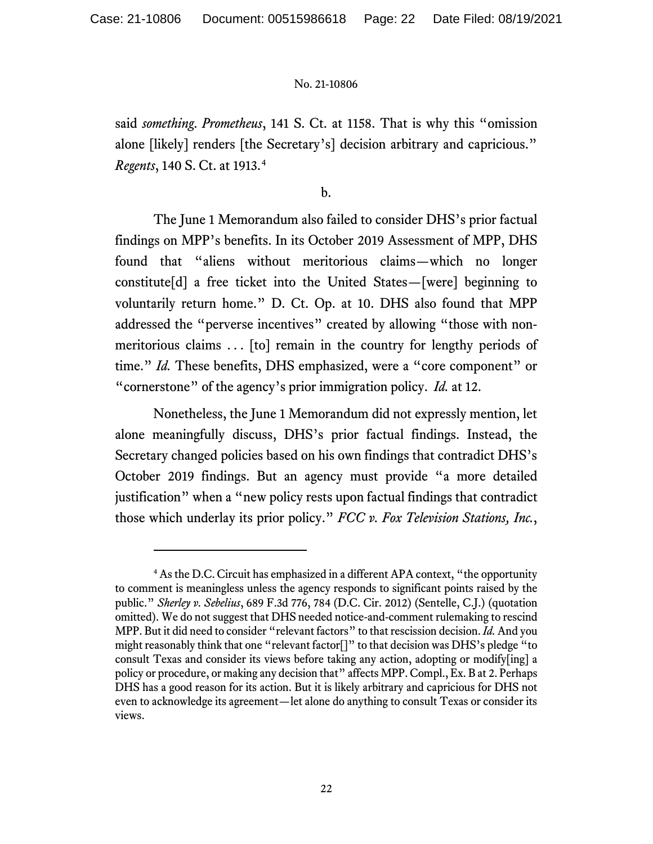said *something*. *Prometheus*, 141 S. Ct. at 1158. That is why this "omission alone [likely] renders [the Secretary's] decision arbitrary and capricious." *Regents*, 140 S. Ct. at 1913.[4](#page-25-0)

b.

The June 1 Memorandum also failed to consider DHS's prior factual findings on MPP's benefits. In its October 2019 Assessment of MPP, DHS found that "aliens without meritorious claims—which no longer constitute[d] a free ticket into the United States—[were] beginning to voluntarily return home." D. Ct. Op. at 10. DHS also found that MPP addressed the "perverse incentives" created by allowing "those with nonmeritorious claims . . . [to] remain in the country for lengthy periods of time." *Id.* These benefits, DHS emphasized, were a "core component" or "cornerstone" of the agency's prior immigration policy. *Id.* at 12.

Nonetheless, the June 1 Memorandum did not expressly mention, let alone meaningfully discuss, DHS's prior factual findings. Instead, the Secretary changed policies based on his own findings that contradict DHS's October 2019 findings. But an agency must provide "a more detailed justification" when a "new policy rests upon factual findings that contradict those which underlay its prior policy." *FCC v. Fox Television Stations, Inc.*,

<sup>4</sup> As the D.C. Circuit has emphasized in a different APA context, "the opportunity to comment is meaningless unless the agency responds to significant points raised by the public." *Sherley v. Sebelius*, 689 F.3d 776, 784 (D.C. Cir. 2012) (Sentelle, C.J.) (quotation omitted). We do not suggest that DHS needed notice-and-comment rulemaking to rescind MPP. But it did need to consider "relevant factors" to that rescission decision. *Id.*And you might reasonably think that one "relevant factor[]" to that decision was DHS's pledge "to consult Texas and consider its views before taking any action, adopting or modify[ing] a policy or procedure, or making any decision that" affects MPP. Compl., Ex. B at 2. Perhaps DHS has a good reason for its action. But it is likely arbitrary and capricious for DHS not even to acknowledge its agreement—let alone do anything to consult Texas or consider its views.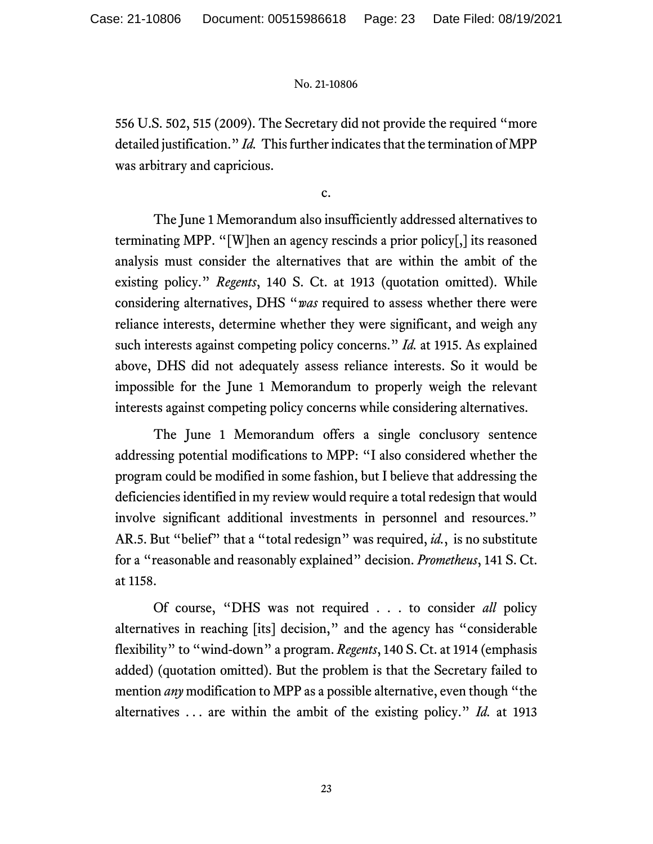556 U.S. 502, 515 (2009). The Secretary did not provide the required "more detailed justification." *Id.* This further indicates that the termination of MPP was arbitrary and capricious.

c.

The June 1 Memorandum also insufficiently addressed alternatives to terminating MPP. "[W]hen an agency rescinds a prior policy[,] its reasoned analysis must consider the alternatives that are within the ambit of the existing policy." *Regents*, 140 S. Ct. at 1913 (quotation omitted). While considering alternatives, DHS "*was* required to assess whether there were reliance interests, determine whether they were significant, and weigh any such interests against competing policy concerns." *Id.* at 1915. As explained above, DHS did not adequately assess reliance interests. So it would be impossible for the June 1 Memorandum to properly weigh the relevant interests against competing policy concerns while considering alternatives.

The June 1 Memorandum offers a single conclusory sentence addressing potential modifications to MPP: "I also considered whether the program could be modified in some fashion, but I believe that addressing the deficiencies identified in my review would require a total redesign that would involve significant additional investments in personnel and resources." AR.5. But "belief" that a "total redesign" was required, *id.*, is no substitute for a "reasonable and reasonably explained" decision. *Prometheus*, 141 S. Ct. at 1158.

Of course, "DHS was not required . . . to consider *all* policy alternatives in reaching [its] decision," and the agency has "considerable flexibility" to "wind-down" a program. *Regents*, 140 S. Ct. at 1914 (emphasis added) (quotation omitted). But the problem is that the Secretary failed to mention *any* modification to MPP as a possible alternative, even though "the alternatives . . . are within the ambit of the existing policy." *Id.* at 1913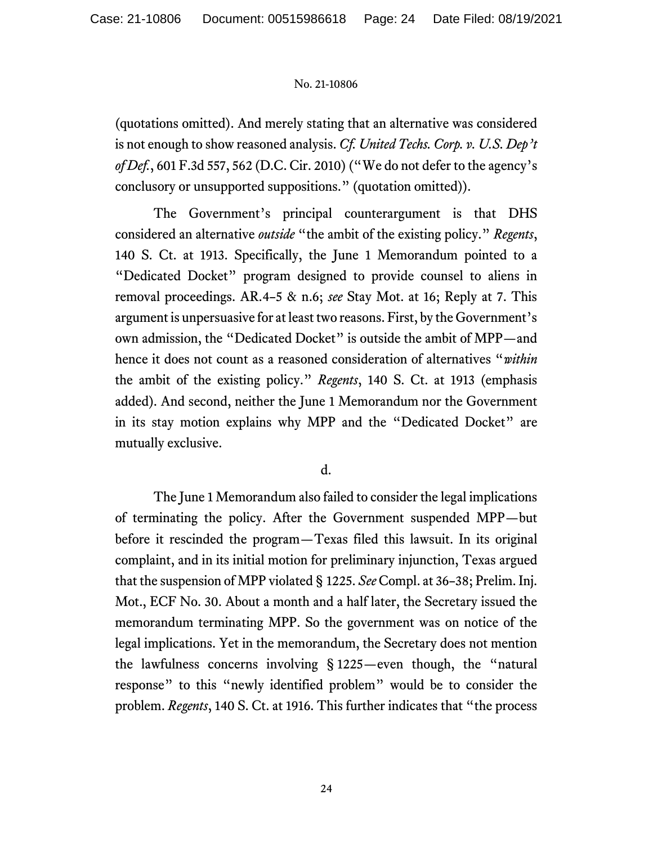(quotations omitted). And merely stating that an alternative was considered is not enough to show reasoned analysis. *Cf. United Techs. Corp. v. U.S. Dep't of Def.*, 601 F.3d 557, 562 (D.C. Cir. 2010) ("We do not defer to the agency's conclusory or unsupported suppositions." (quotation omitted)).

The Government's principal counterargument is that DHS considered an alternative *outside* "the ambit of the existing policy." *Regents*, 140 S. Ct. at 1913. Specifically, the June 1 Memorandum pointed to a "Dedicated Docket" program designed to provide counsel to aliens in removal proceedings. AR.4–5 & n.6; *see* Stay Mot. at 16; Reply at 7. This argument is unpersuasive for at least two reasons. First, by the Government's own admission, the "Dedicated Docket" is outside the ambit of MPP—and hence it does not count as a reasoned consideration of alternatives "*within* the ambit of the existing policy." *Regents*, 140 S. Ct. at 1913 (emphasis added). And second, neither the June 1 Memorandum nor the Government in its stay motion explains why MPP and the "Dedicated Docket" are mutually exclusive.

d.

The June 1 Memorandum also failed to consider the legal implications of terminating the policy. After the Government suspended MPP—but before it rescinded the program—Texas filed this lawsuit. In its original complaint, and in its initial motion for preliminary injunction, Texas argued that the suspension of MPP violated § 1225. *See* Compl. at 36–38; Prelim. Inj. Mot., ECF No. 30. About a month and a half later, the Secretary issued the memorandum terminating MPP. So the government was on notice of the legal implications. Yet in the memorandum, the Secretary does not mention the lawfulness concerns involving § 1225—even though, the "natural response" to this "newly identified problem" would be to consider the problem. *Regents*, 140 S. Ct. at 1916. This further indicates that "the process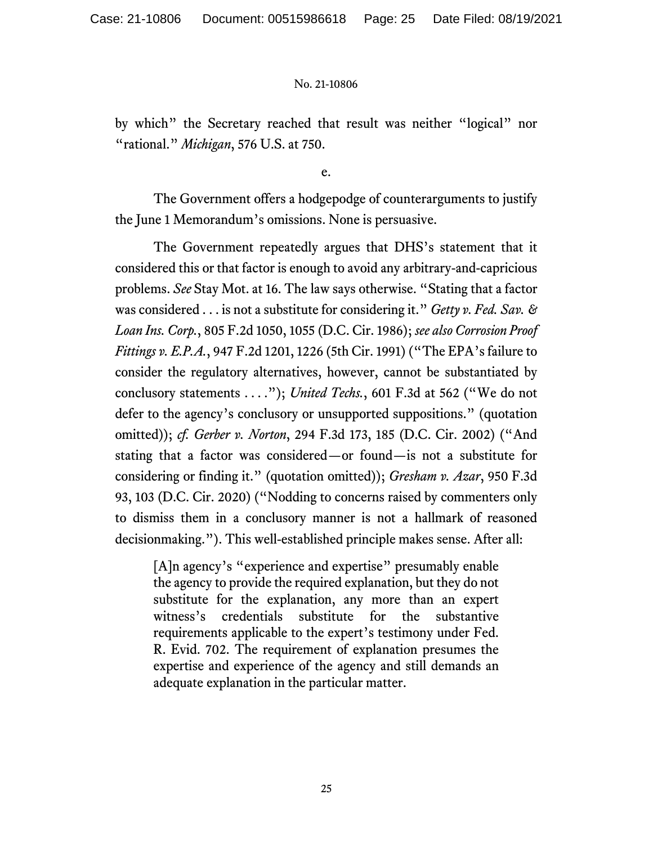by which" the Secretary reached that result was neither "logical" nor "rational." *Michigan*, 576 U.S. at 750.

e.

The Government offers a hodgepodge of counterarguments to justify the June 1 Memorandum's omissions. None is persuasive.

The Government repeatedly argues that DHS's statement that it considered this or that factor is enough to avoid any arbitrary-and-capricious problems. *See* Stay Mot. at 16. The law says otherwise. "Stating that a factor was considered . . . is not a substitute for considering it." *Getty v. Fed. Sav. & Loan Ins. Corp.*, 805 F.2d 1050, 1055 (D.C. Cir. 1986); *see also Corrosion Proof Fittings v. E.P.A.*, 947 F.2d 1201, 1226 (5th Cir. 1991) ("The EPA's failure to consider the regulatory alternatives, however, cannot be substantiated by conclusory statements . . . ."); *United Techs.*, 601 F.3d at 562 ("We do not defer to the agency's conclusory or unsupported suppositions." (quotation omitted)); *cf. Gerber v. Norton*, 294 F.3d 173, 185 (D.C. Cir. 2002) ("And stating that a factor was considered—or found—is not a substitute for considering or finding it." (quotation omitted)); *Gresham v. Azar*, 950 F.3d 93, 103 (D.C. Cir. 2020) ("Nodding to concerns raised by commenters only to dismiss them in a conclusory manner is not a hallmark of reasoned decisionmaking."). This well-established principle makes sense. After all:

[A]n agency's "experience and expertise" presumably enable the agency to provide the required explanation, but they do not substitute for the explanation, any more than an expert witness's credentials substitute for the substantive requirements applicable to the expert's testimony under Fed. R. Evid. 702. The requirement of explanation presumes the expertise and experience of the agency and still demands an adequate explanation in the particular matter.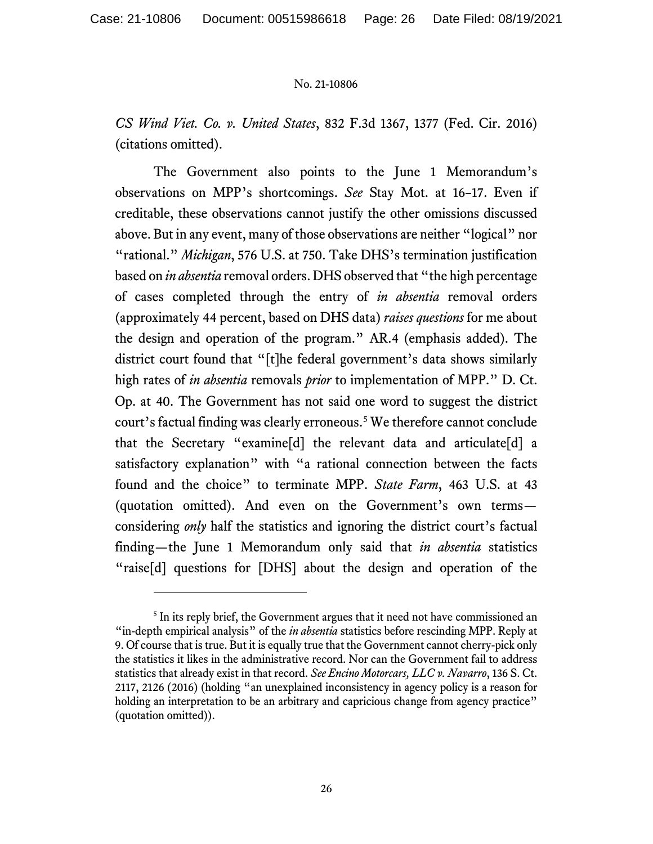*CS Wind Viet. Co. v. United States*, 832 F.3d 1367, 1377 (Fed. Cir. 2016) (citations omitted).

The Government also points to the June 1 Memorandum's observations on MPP's shortcomings. *See* Stay Mot. at 16–17. Even if creditable, these observations cannot justify the other omissions discussed above. But in any event, many of those observations are neither "logical" nor "rational." *Michigan*, 576 U.S. at 750. Take DHS's termination justification based on *in absentia* removal orders. DHS observed that "the high percentage of cases completed through the entry of *in absentia* removal orders (approximately 44 percent, based on DHS data) *raises questions* for me about the design and operation of the program." AR.4 (emphasis added). The district court found that "[t]he federal government's data shows similarly high rates of *in absentia* removals *prior* to implementation of MPP." D. Ct. Op. at 40. The Government has not said one word to suggest the district court's factual finding was clearly erroneous. [5](#page-25-0) We therefore cannot conclude that the Secretary "examine[d] the relevant data and articulate[d] a satisfactory explanation" with "a rational connection between the facts found and the choice" to terminate MPP. *State Farm*, 463 U.S. at 43 (quotation omitted). And even on the Government's own terms considering *only* half the statistics and ignoring the district court's factual finding—the June 1 Memorandum only said that *in absentia* statistics "raise[d] questions for [DHS] about the design and operation of the

<span id="page-25-0"></span><sup>&</sup>lt;sup>5</sup> In its reply brief, the Government argues that it need not have commissioned an "in-depth empirical analysis" of the *in absentia* statistics before rescinding MPP. Reply at 9. Of course that is true. But it is equally true that the Government cannot cherry-pick only the statistics it likes in the administrative record. Nor can the Government fail to address statistics that already exist in that record. *See Encino Motorcars, LLC v. Navarro*, 136 S. Ct. 2117, 2126 (2016) (holding "an unexplained inconsistency in agency policy is a reason for holding an interpretation to be an arbitrary and capricious change from agency practice" (quotation omitted)).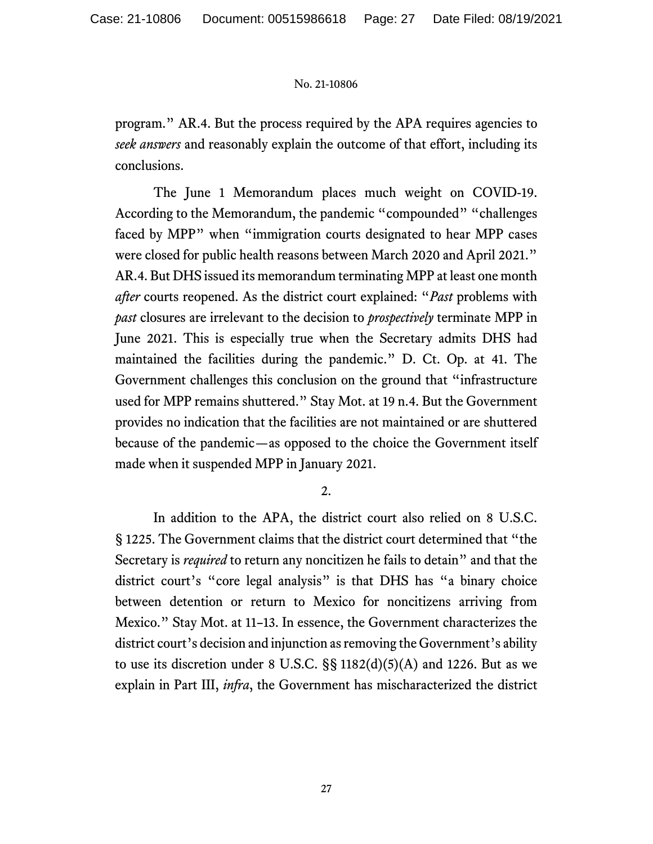program." AR.4. But the process required by the APA requires agencies to *seek answers* and reasonably explain the outcome of that effort, including its conclusions.

The June 1 Memorandum places much weight on COVID-19. According to the Memorandum, the pandemic "compounded" "challenges faced by MPP" when "immigration courts designated to hear MPP cases were closed for public health reasons between March 2020 and April 2021." AR.4. But DHS issued its memorandum terminating MPP at least one month *after* courts reopened. As the district court explained: "*Past* problems with *past* closures are irrelevant to the decision to *prospectively* terminate MPP in June 2021. This is especially true when the Secretary admits DHS had maintained the facilities during the pandemic." D. Ct. Op. at 41. The Government challenges this conclusion on the ground that "infrastructure used for MPP remains shuttered." Stay Mot. at 19 n.4. But the Government provides no indication that the facilities are not maintained or are shuttered because of the pandemic—as opposed to the choice the Government itself made when it suspended MPP in January 2021.

2.

In addition to the APA, the district court also relied on 8 U.S.C. § 1225. The Government claims that the district court determined that "the Secretary is *required* to return any noncitizen he fails to detain" and that the district court's "core legal analysis" is that DHS has "a binary choice between detention or return to Mexico for noncitizens arriving from Mexico." Stay Mot. at 11–13. In essence, the Government characterizes the district court's decision and injunction as removing the Government's ability to use its discretion under 8 U.S.C.  $\S$ § 1182(d)(5)(A) and 1226. But as we explain in Part III, *infra*, the Government has mischaracterized the district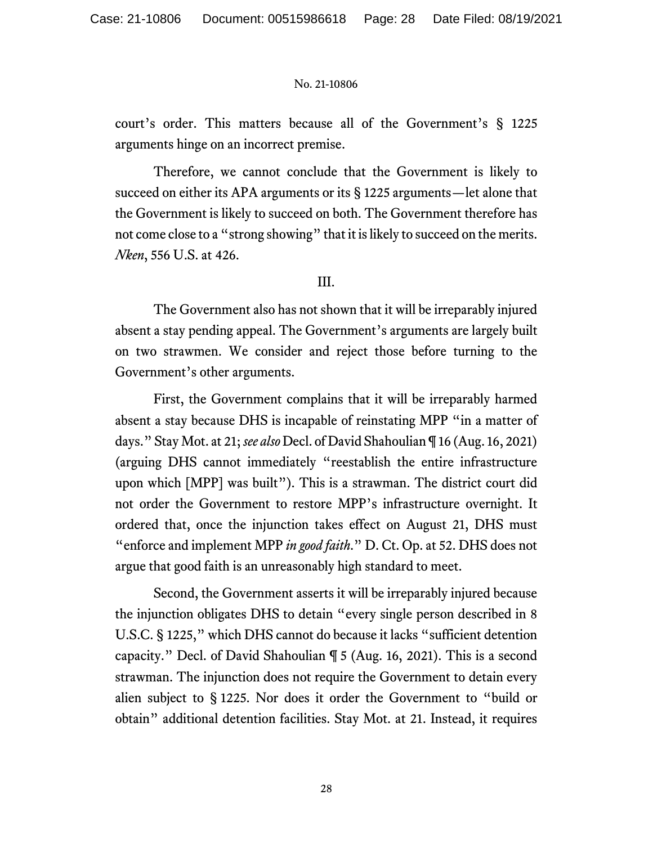court's order. This matters because all of the Government's § 1225 arguments hinge on an incorrect premise.

Therefore, we cannot conclude that the Government is likely to succeed on either its APA arguments or its § 1225 arguments—let alone that the Government is likely to succeed on both. The Government therefore has not come close to a "strong showing" that it is likely to succeed on the merits. *Nken*, 556 U.S. at 426.

## III.

The Government also has not shown that it will be irreparably injured absent a stay pending appeal. The Government's arguments are largely built on two strawmen. We consider and reject those before turning to the Government's other arguments.

First, the Government complains that it will be irreparably harmed absent a stay because DHS is incapable of reinstating MPP "in a matter of days." Stay Mot. at 21; *see also* Decl. of David Shahoulian ¶ 16 (Aug. 16, 2021) (arguing DHS cannot immediately "reestablish the entire infrastructure upon which [MPP] was built"). This is a strawman. The district court did not order the Government to restore MPP's infrastructure overnight. It ordered that, once the injunction takes effect on August 21, DHS must "enforce and implement MPP *in good faith*." D. Ct. Op. at 52. DHS does not argue that good faith is an unreasonably high standard to meet.

Second, the Government asserts it will be irreparably injured because the injunction obligates DHS to detain "every single person described in 8 U.S.C. § 1225," which DHS cannot do because it lacks "sufficient detention capacity." Decl. of David Shahoulian ¶ 5 (Aug. 16, 2021). This is a second strawman. The injunction does not require the Government to detain every alien subject to § 1225. Nor does it order the Government to "build or obtain" additional detention facilities. Stay Mot. at 21. Instead, it requires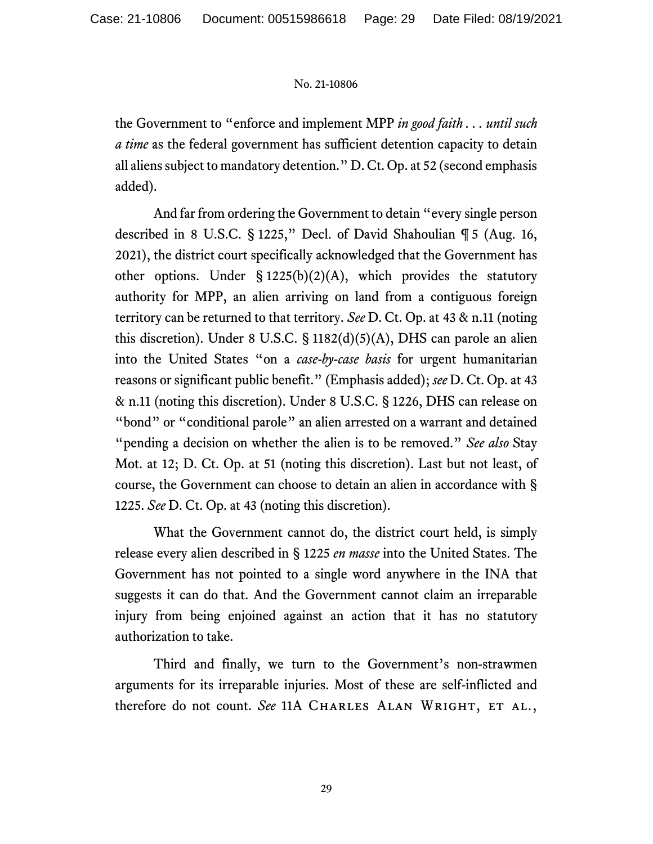the Government to "enforce and implement MPP *in good faith . . . until such a time* as the federal government has sufficient detention capacity to detain all aliens subject to mandatory detention." D. Ct. Op. at 52 (second emphasis added).

And far from ordering the Government to detain "every single person described in 8 U.S.C. § 1225," Decl. of David Shahoulian ¶ 5 (Aug. 16, 2021), the district court specifically acknowledged that the Government has other options. Under  $\S 1225(b)(2)(A)$ , which provides the statutory authority for MPP, an alien arriving on land from a contiguous foreign territory can be returned to that territory. *See* D. Ct. Op. at 43 & n.11 (noting this discretion). Under 8 U.S.C. § 1182(d)(5)(A), DHS can parole an alien into the United States "on a *case-by-case basis* for urgent humanitarian reasons or significant public benefit." (Emphasis added); *see* D. Ct. Op. at 43 & n.11 (noting this discretion). Under 8 U.S.C. § 1226, DHS can release on "bond" or "conditional parole" an alien arrested on a warrant and detained "pending a decision on whether the alien is to be removed." *See also* Stay Mot. at 12; D. Ct. Op. at 51 (noting this discretion). Last but not least, of course, the Government can choose to detain an alien in accordance with § 1225. *See* D. Ct. Op. at 43 (noting this discretion).

What the Government cannot do, the district court held, is simply release every alien described in § 1225 *en masse* into the United States. The Government has not pointed to a single word anywhere in the INA that suggests it can do that. And the Government cannot claim an irreparable injury from being enjoined against an action that it has no statutory authorization to take.

Third and finally, we turn to the Government's non-strawmen arguments for its irreparable injuries. Most of these are self-inflicted and therefore do not count. *See* 11A CHARLES ALAN WRIGHT, ET AL.,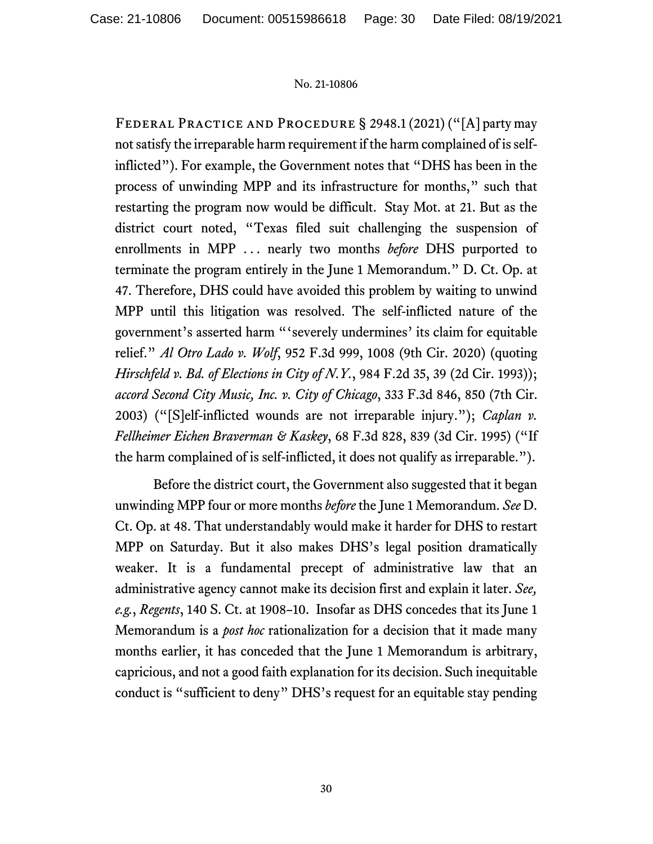Federal Practice and Procedure § 2948.1 (2021) ("[A] party may not satisfy the irreparable harm requirement if the harm complained of is selfinflicted"). For example, the Government notes that "DHS has been in the process of unwinding MPP and its infrastructure for months," such that restarting the program now would be difficult. Stay Mot. at 21. But as the district court noted, "Texas filed suit challenging the suspension of enrollments in MPP ... nearly two months *before* DHS purported to terminate the program entirely in the June 1 Memorandum." D. Ct. Op. at 47. Therefore, DHS could have avoided this problem by waiting to unwind MPP until this litigation was resolved. The self-inflicted nature of the government's asserted harm "'severely undermines' its claim for equitable relief." *Al Otro Lado v. Wolf*, 952 F.3d 999, 1008 (9th Cir. 2020) (quoting *Hirschfeld v. Bd. of Elections in City of N.Y.*, 984 F.2d 35, 39 (2d Cir. 1993)); *accord Second City Music, Inc. v. City of Chicago*, 333 F.3d 846, 850 (7th Cir. 2003) ("[S]elf-inflicted wounds are not irreparable injury."); *Caplan v. Fellheimer Eichen Braverman & Kaskey*, 68 F.3d 828, 839 (3d Cir. 1995) ("If the harm complained of is self-inflicted, it does not qualify as irreparable.").

Before the district court, the Government also suggested that it began unwinding MPP four or more months *before* the June 1 Memorandum. *See* D. Ct. Op. at 48. That understandably would make it harder for DHS to restart MPP on Saturday. But it also makes DHS's legal position dramatically weaker. It is a fundamental precept of administrative law that an administrative agency cannot make its decision first and explain it later. *See, e.g.*, *Regents*, 140 S. Ct. at 1908–10. Insofar as DHS concedes that its June 1 Memorandum is a *post hoc* rationalization for a decision that it made many months earlier, it has conceded that the June 1 Memorandum is arbitrary, capricious, and not a good faith explanation for its decision. Such inequitable conduct is "sufficient to deny" DHS's request for an equitable stay pending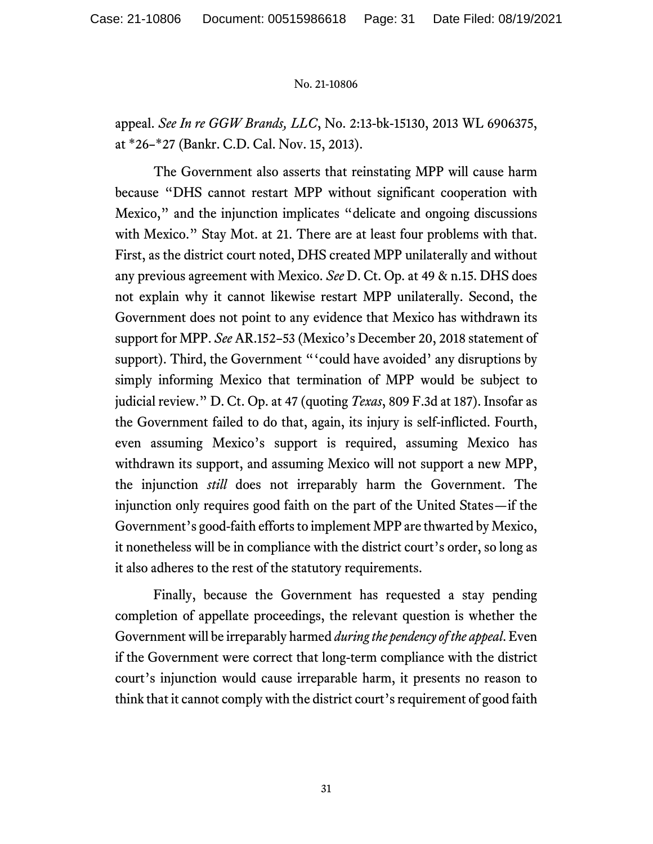appeal. *See In re GGW Brands, LLC*, No. 2:13-bk-15130, 2013 WL 6906375, at \*26–\*27 (Bankr. C.D. Cal. Nov. 15, 2013).

The Government also asserts that reinstating MPP will cause harm because "DHS cannot restart MPP without significant cooperation with Mexico," and the injunction implicates "delicate and ongoing discussions with Mexico." Stay Mot. at 21. There are at least four problems with that. First, as the district court noted, DHS created MPP unilaterally and without any previous agreement with Mexico. *See* D. Ct. Op. at 49 & n.15. DHS does not explain why it cannot likewise restart MPP unilaterally. Second, the Government does not point to any evidence that Mexico has withdrawn its support for MPP. *See* AR.152–53 (Mexico's December 20, 2018 statement of support). Third, the Government "'could have avoided' any disruptions by simply informing Mexico that termination of MPP would be subject to judicial review." D. Ct. Op. at 47 (quoting *Texas*, 809 F.3d at 187). Insofar as the Government failed to do that, again, its injury is self-inflicted. Fourth, even assuming Mexico's support is required, assuming Mexico has withdrawn its support, and assuming Mexico will not support a new MPP, the injunction *still* does not irreparably harm the Government. The injunction only requires good faith on the part of the United States—if the Government's good-faith efforts to implement MPP are thwarted by Mexico, it nonetheless will be in compliance with the district court's order, so long as it also adheres to the rest of the statutory requirements.

Finally, because the Government has requested a stay pending completion of appellate proceedings, the relevant question is whether the Government will be irreparably harmed *during the pendency of the appeal*. Even if the Government were correct that long-term compliance with the district court's injunction would cause irreparable harm, it presents no reason to think that it cannot comply with the district court's requirement of good faith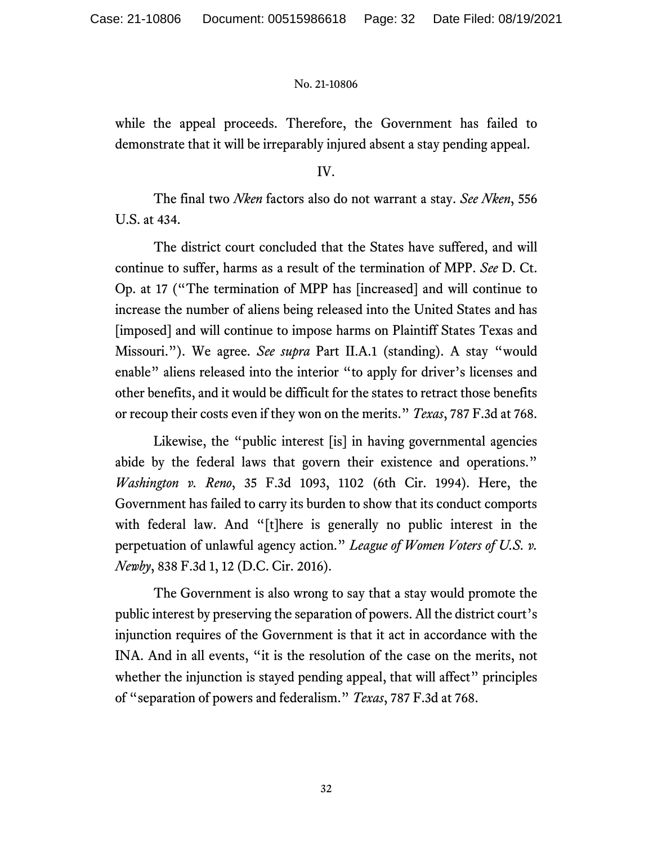while the appeal proceeds. Therefore, the Government has failed to demonstrate that it will be irreparably injured absent a stay pending appeal.

IV.

The final two *Nken* factors also do not warrant a stay. *See Nken*, 556 U.S. at 434.

The district court concluded that the States have suffered, and will continue to suffer, harms as a result of the termination of MPP. *See* D. Ct. Op. at 17 ("The termination of MPP has [increased] and will continue to increase the number of aliens being released into the United States and has [imposed] and will continue to impose harms on Plaintiff States Texas and Missouri."). We agree. *See supra* Part II.A.1 (standing). A stay "would enable" aliens released into the interior "to apply for driver's licenses and other benefits, and it would be difficult for the states to retract those benefits or recoup their costs even if they won on the merits." *Texas*, 787 F.3d at 768.

Likewise, the "public interest [is] in having governmental agencies abide by the federal laws that govern their existence and operations." *Washington v. Reno*, 35 F.3d 1093, 1102 (6th Cir. 1994). Here, the Government has failed to carry its burden to show that its conduct comports with federal law. And "[t]here is generally no public interest in the perpetuation of unlawful agency action." *League of Women Voters of U.S. v. Newby*, 838 F.3d 1, 12 (D.C. Cir. 2016).

The Government is also wrong to say that a stay would promote the public interest by preserving the separation of powers. All the district court's injunction requires of the Government is that it act in accordance with the INA. And in all events, "it is the resolution of the case on the merits, not whether the injunction is stayed pending appeal, that will affect" principles of "separation of powers and federalism." *Texas*, 787 F.3d at 768.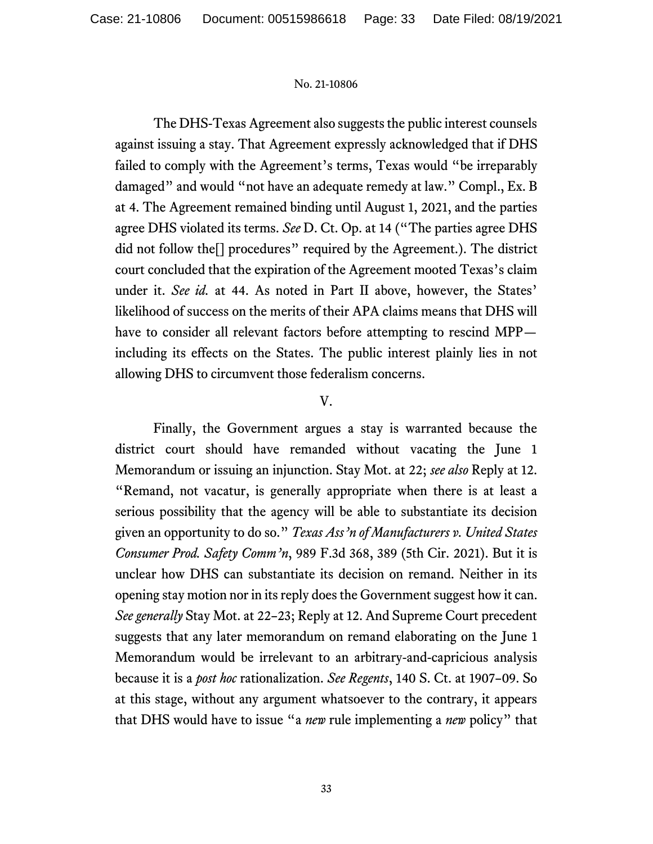The DHS-Texas Agreement also suggests the public interest counsels against issuing a stay. That Agreement expressly acknowledged that if DHS failed to comply with the Agreement's terms, Texas would "be irreparably damaged" and would "not have an adequate remedy at law." Compl., Ex. B at 4. The Agreement remained binding until August 1, 2021, and the parties agree DHS violated its terms. *See* D. Ct. Op. at 14 ("The parties agree DHS did not follow the[] procedures" required by the Agreement.). The district court concluded that the expiration of the Agreement mooted Texas's claim under it. *See id.* at 44. As noted in Part II above, however, the States' likelihood of success on the merits of their APA claims means that DHS will have to consider all relevant factors before attempting to rescind MPP including its effects on the States. The public interest plainly lies in not allowing DHS to circumvent those federalism concerns.

## V.

Finally, the Government argues a stay is warranted because the district court should have remanded without vacating the June 1 Memorandum or issuing an injunction. Stay Mot. at 22; *see also* Reply at 12. "Remand, not vacatur, is generally appropriate when there is at least a serious possibility that the agency will be able to substantiate its decision given an opportunity to do so." *Texas Ass'n of Manufacturers v. United States Consumer Prod. Safety Comm'n*, 989 F.3d 368, 389 (5th Cir. 2021). But it is unclear how DHS can substantiate its decision on remand. Neither in its opening stay motion nor in its reply does the Government suggest how it can. *See generally* Stay Mot. at 22–23; Reply at 12. And Supreme Court precedent suggests that any later memorandum on remand elaborating on the June 1 Memorandum would be irrelevant to an arbitrary-and-capricious analysis because it is a *post hoc* rationalization. *See Regents*, 140 S. Ct. at 1907–09. So at this stage, without any argument whatsoever to the contrary, it appears that DHS would have to issue "a *new* rule implementing a *new* policy" that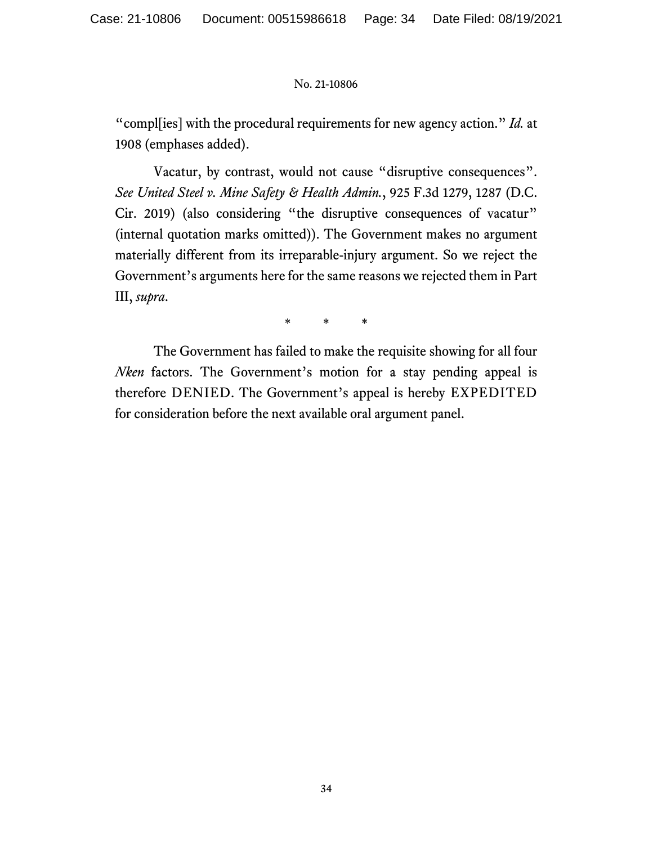"compl[ies] with the procedural requirements for new agency action." *Id.* at 1908 (emphases added).

Vacatur, by contrast, would not cause "disruptive consequences". *See United Steel v. Mine Safety & Health Admin.*, 925 F.3d 1279, 1287 (D.C. Cir. 2019) (also considering "the disruptive consequences of vacatur" (internal quotation marks omitted)). The Government makes no argument materially different from its irreparable-injury argument. So we reject the Government's arguments here for the same reasons we rejected them in Part III, *supra*.

\* \* \*

The Government has failed to make the requisite showing for all four *Nken* factors. The Government's motion for a stay pending appeal is therefore DENIED. The Government's appeal is hereby EXPEDITED for consideration before the next available oral argument panel.